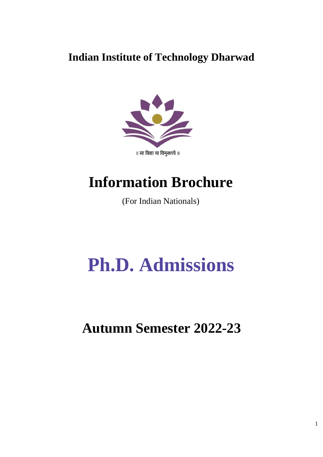## **Indian Institute of Technology Dharwad**



## **Information Brochure**

(For Indian Nationals)

# **Ph.D. Admissions**

**Autumn Semester 2022-23**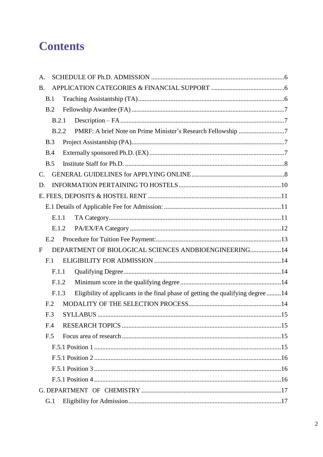## **Contents**

| A.              |       |                                                                                  |  |
|-----------------|-------|----------------------------------------------------------------------------------|--|
| В.              |       |                                                                                  |  |
| B.1             |       |                                                                                  |  |
|                 | B.2   |                                                                                  |  |
|                 | B.2.1 |                                                                                  |  |
|                 | B.2.2 |                                                                                  |  |
| B.3             |       |                                                                                  |  |
| B.4             |       |                                                                                  |  |
| B.5             |       |                                                                                  |  |
| C.              |       |                                                                                  |  |
| D.              |       |                                                                                  |  |
|                 |       |                                                                                  |  |
|                 |       |                                                                                  |  |
|                 | E.1.1 |                                                                                  |  |
|                 | E.1.2 |                                                                                  |  |
|                 | E.2   |                                                                                  |  |
| F               |       | DEPARTMENT OF BIOLOGICAL SCIENCES ANDBIOENGINEERING 14                           |  |
| F.1             |       |                                                                                  |  |
|                 | F.1.1 |                                                                                  |  |
|                 | F.1.2 |                                                                                  |  |
|                 | F.1.3 | Eligibility of applicants in the final phase of getting the qualifying degree 14 |  |
| F <sub>12</sub> |       |                                                                                  |  |
|                 | F.3   |                                                                                  |  |
| F.4             |       |                                                                                  |  |
| F.5             |       |                                                                                  |  |
|                 |       |                                                                                  |  |
|                 |       |                                                                                  |  |
|                 |       |                                                                                  |  |
|                 |       |                                                                                  |  |
|                 |       |                                                                                  |  |
|                 | G.1   |                                                                                  |  |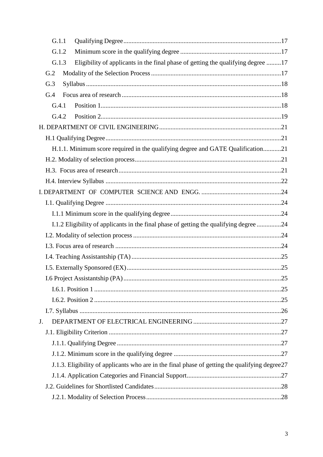| G.1.1 |                                                                                                |  |
|-------|------------------------------------------------------------------------------------------------|--|
| G.1.2 |                                                                                                |  |
| G.1.3 | Eligibility of applicants in the final phase of getting the qualifying degree 17               |  |
| G.2   |                                                                                                |  |
| G.3   |                                                                                                |  |
| G.4   |                                                                                                |  |
| G.4.1 |                                                                                                |  |
| G.4.2 |                                                                                                |  |
|       |                                                                                                |  |
|       |                                                                                                |  |
|       | H.1.1. Minimum score required in the qualifying degree and GATE Qualification21                |  |
|       |                                                                                                |  |
|       |                                                                                                |  |
|       |                                                                                                |  |
|       |                                                                                                |  |
|       |                                                                                                |  |
|       |                                                                                                |  |
|       | I.1.2 Eligibility of applicants in the final phase of getting the qualifying degree 24         |  |
|       |                                                                                                |  |
|       |                                                                                                |  |
|       |                                                                                                |  |
|       |                                                                                                |  |
|       |                                                                                                |  |
|       |                                                                                                |  |
|       |                                                                                                |  |
|       |                                                                                                |  |
| J.    |                                                                                                |  |
|       |                                                                                                |  |
|       |                                                                                                |  |
|       |                                                                                                |  |
|       | J.1.3. Eligibility of applicants who are in the final phase of getting the qualifying degree27 |  |
|       |                                                                                                |  |
|       |                                                                                                |  |
|       |                                                                                                |  |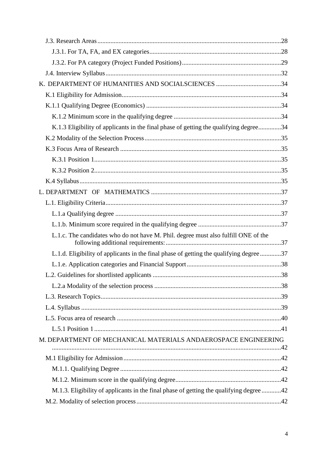| K.1.3 Eligibility of applicants in the final phase of getting the qualifying degree34   |  |
|-----------------------------------------------------------------------------------------|--|
|                                                                                         |  |
|                                                                                         |  |
|                                                                                         |  |
|                                                                                         |  |
|                                                                                         |  |
|                                                                                         |  |
|                                                                                         |  |
|                                                                                         |  |
|                                                                                         |  |
| L.1.c. The candidates who do not have M. Phil. degree must also fulfill ONE of the      |  |
| L.1.d. Eligibility of applicants in the final phase of getting the qualifying degree 37 |  |
|                                                                                         |  |
|                                                                                         |  |
|                                                                                         |  |
|                                                                                         |  |
|                                                                                         |  |
|                                                                                         |  |
|                                                                                         |  |
| M. DEPARTMENT OF MECHANICAL MATERIALS ANDAEROSPACE ENGINEERING                          |  |
|                                                                                         |  |
|                                                                                         |  |
|                                                                                         |  |
| M.1.3. Eligibility of applicants in the final phase of getting the qualifying degree 42 |  |
|                                                                                         |  |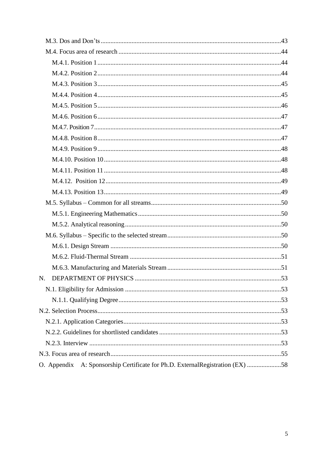| N.                                                                            | 53 |
|-------------------------------------------------------------------------------|----|
|                                                                               |    |
|                                                                               |    |
|                                                                               |    |
|                                                                               |    |
|                                                                               |    |
|                                                                               |    |
|                                                                               |    |
| O. Appendix A: Sponsorship Certificate for Ph.D. ExternalRegistration (EX) 58 |    |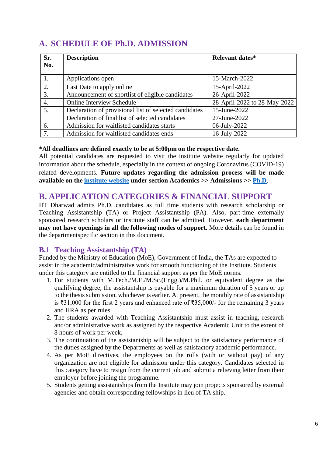## <span id="page-5-0"></span>**A. SCHEDULE OF Ph.D. ADMISSION**

| Sr. | <b>Description</b>                                     | <b>Relevant dates*</b>       |
|-----|--------------------------------------------------------|------------------------------|
| No. |                                                        |                              |
|     | Applications open                                      | 15-March-2022                |
| 2.  | Last Date to apply online                              | 15-April-2022                |
| 3.  | Announcement of shortlist of eligible candidates       | 26-April-2022                |
| 4.  | <b>Online Interview Schedule</b>                       | 28-April-2022 to 28-May-2022 |
| 5.  | Declaration of provisional list of selected candidates | 15-June-2022                 |
|     | Declaration of final list of selected candidates       | 27-June-2022                 |
| 6.  | Admission for waitlisted candidates starts             | 06-July-2022                 |
| 7.  | Admission for waitlisted candidates ends               | 16-July-2022                 |

#### **\*All deadlines are defined exactly to be at 5:00pm on the respective date.**

All potential candidates are requested to visit the institute website regularly for updated information about the schedule, especially in the context of ongoing Coronavirus (COVID-19) related developments. **Future updates regarding the admission process will be made available on the [institute](https://www.iitdh.ac.in/) website under section Academics >> Admissions >> [Ph.D](https://www.iitdh.ac.in/academics_phd.php)**.

## <span id="page-5-1"></span>**B. APPLICATION CATEGORIES & FINANCIAL SUPPORT**

IIT Dharwad admits Ph.D. candidates as full time students with research scholarship or Teaching Assistantship (TA) or Project Assistantship (PA). Also, part-time externally sponsored research scholars or institute staff can be admitted. However, **each department may not have openings in all the following modes of support.** More details can be found in the departmentspecific section in this document.

#### <span id="page-5-2"></span>**B.1 Teaching Assistantship (TA)**

Funded by the Ministry of Education (MoE), Government of India, the TAs are expected to assist in the academic/administrative work for smooth functioning of the Institute. Students under this category are entitled to the financial support as per the MoE norms.

- 1. For students with M.Tech./M.E./M.Sc.(Engg.)/M.Phil. or equivalent degree as the qualifying degree, the assistantship is payable for a maximum duration of 5 years or up to the thesis submission, whichever is earlier. At present, the monthly rate of assistantship is ₹31,000 for the first 2 years and enhanced rate of ₹35,000/- for the remaining 3 years and HRA as per rules.
- 2. The students awarded with Teaching Assistantship must assist in teaching, research and/or administrative work as assigned by the respective Academic Unit to the extent of 8 hours of work per week.
- 3. The continuation of the assistantship will be subject to the satisfactory performance of the duties assigned by the Departments as well as satisfactory academic performance.
- 4. As per MoE directives, the employees on the rolls (with or without pay) of any organization are not eligible for admission under this category. Candidates selected in this category have to resign from the current job and submit a relieving letter from their employer before joining the programme.
- 5. Students getting assistantships from the Institute may join projects sponsored by external agencies and obtain corresponding fellowships in lieu of TA ship.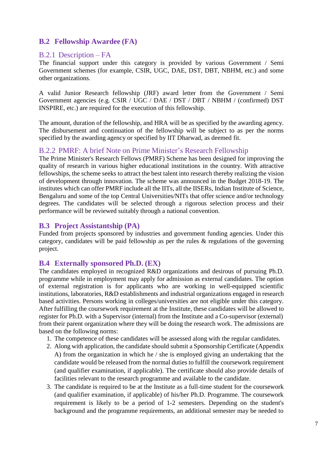#### <span id="page-6-0"></span>**B.2 Fellowship Awardee (FA)**

#### <span id="page-6-1"></span>B.2.1 Description – FA

The financial support under this category is provided by various Government / Semi Government schemes (for example, CSIR, UGC, DAE, DST, DBT, NBHM, etc.) and some other organizations.

A valid Junior Research fellowship (JRF) award letter from the Government / Semi Government agencies (e.g. CSIR / UGC / DAE / DST / DBT / NBHM / (confirmed) DST INSPIRE, etc.) are required for the execution of this fellowship.

The amount, duration of the fellowship, and HRA will be as specified by the awarding agency. The disbursement and continuation of the fellowship will be subject to as per the norms specified by the awarding agency or specified by IIT Dharwad, as deemed fit.

#### <span id="page-6-2"></span>B.2.2 PMRF: A brief Note on Prime Minister's Research Fellowship

The Prime Minister's Research Fellows (PMRF) Scheme has been designed for improving the quality of research in various higher educational institutions in the country. With attractive fellowships, the scheme seeks to attract the best talent into research thereby realizing the vision of development through innovation. The scheme was announced in the Budget 2018-19. The institutes which can offer PMRF include all the IITs, all the IISERs, Indian Institute of Science, Bengaluru and some of the top Central Universities/NITs that offer science and/or technology degrees. The candidates will be selected through a rigorous selection process and their performance will be reviewed suitably through a national convention.

#### <span id="page-6-3"></span>**B.3 Project Assistantship (PA)**

Funded from projects sponsored by industries and government funding agencies. Under this category, candidates will be paid fellowship as per the rules  $\&$  regulations of the governing project.

#### <span id="page-6-4"></span>**B.4 Externally sponsored Ph.D. (EX)**

The candidates employed in recognized R&D organizations and desirous of pursuing Ph.D. programme while in employment may apply for admission as external candidates. The option of external registration is for applicants who are working in well-equipped scientific institutions, laboratories, R&D establishments and industrial organizations engaged in research based activities. Persons working in colleges/universities are not eligible under this category. After fulfilling the coursework requirement at the Institute, these candidates will be allowed to register for Ph.D. with a Supervisor (internal) from the Institute and a Co-supervisor (external) from their parent organization where they will be doing the research work. The admissions are based on the following norms:

- 1. The competence of these candidates will be assessed along with the regular candidates.
- 2. Along with application, the candidate should submit a Sponsorship Certificate (Appendix A) from the organization in which he / she is employed giving an undertaking that the candidate would be released from the normal duties to fulfill the coursework requirement (and qualifier examination, if applicable). The certificate should also provide details of facilities relevant to the research programme and available to the candidate.
- 3. The candidate is required to be at the Institute as a full-time student for the coursework (and qualifier examination, if applicable) of his/her Ph.D. Programme. The coursework requirement is likely to be a period of 1-2 semesters. Depending on the student's background and the programme requirements, an additional semester may be needed to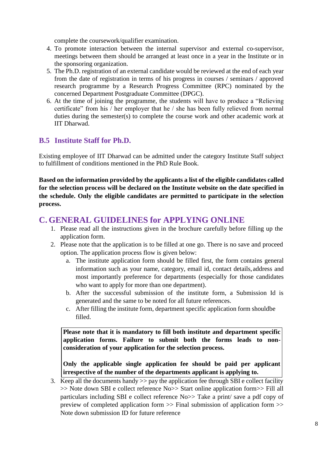complete the coursework/qualifier examination.

- 4. To promote interaction between the internal supervisor and external co-supervisor, meetings between them should be arranged at least once in a year in the Institute or in the sponsoring organization.
- 5. The Ph.D. registration of an external candidate would be reviewed at the end of each year from the date of registration in terms of his progress in courses / seminars / approved research programme by a Research Progress Committee (RPC) nominated by the concerned Department Postgraduate Committee (DPGC).
- 6. At the time of joining the programme, the students will have to produce a "Relieving certificate" from his / her employer that he / she has been fully relieved from normal duties during the semester(s) to complete the course work and other academic work at IIT Dharwad.

### <span id="page-7-0"></span>**B.5 Institute Staff for Ph.D.**

Existing employee of IIT Dharwad can be admitted under the category Institute Staff subject to fulfillment of conditions mentioned in the PhD Rule Book.

**Based on the information provided by the applicants a list of the eligible candidates called for the selection process will be declared on the Institute website on the date specified in the schedule. Only the eligible candidates are permitted to participate in the selection process.**

## <span id="page-7-1"></span>**C. GENERAL GUIDELINES for APPLYING ONLINE**

- 1. Please read all the instructions given in the brochure carefully before filling up the application form.
- 2. Please note that the application is to be filled at one go. There is no save and proceed option. The application process flow is given below:
	- a. The institute application form should be filled first, the form contains general information such as your name, category, email id, contact details,address and most importantly preference for departments (especially for those candidates who want to apply for more than one department).
	- b. After the successful submission of the institute form, a Submission Id is generated and the same to be noted for all future references.
	- c. After filling the institute form, department specific application form shouldbe filled.

**Please note that it is mandatory to fill both institute and department specific application forms. Failure to submit both the forms leads to nonconsideration of your application for the selection process.**

**Only the applicable single application fee should be paid per applicant irrespective of the number of the departments applicant is applying to.**

3. Keep all the documents handy >> pay the application fee through SBI e collect facility >> Note down SBI e collect reference No>> Start online application form>> Fill all particulars including SBI e collect reference No>> Take a print/ save a pdf copy of preview of completed application form >> Final submission of application form >> Note down submission ID for future reference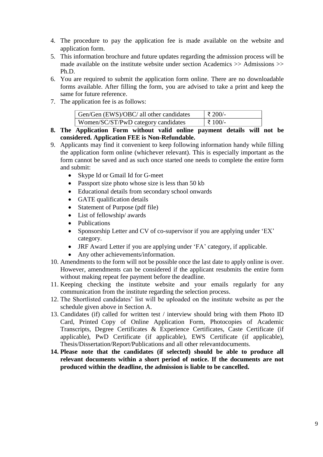- 4. The procedure to pay the application fee is made available on the website and application form.
- 5. This information brochure and future updates regarding the admission process will be made available on the institute website under section Academics >> Admissions >> Ph.D.
- 6. You are required to submit the application form online. There are no downloadable forms available. After filling the form, you are advised to take a print and keep the same for future reference.
- 7. The application fee is as follows:

| Gen/Gen (EWS)/OBC/ all other candidates | $\vert$ ₹ 200/- |
|-----------------------------------------|-----------------|
| Women/SC/ST/PwD category candidates     | $\pm 100/$ -    |

- **8. The Application Form without valid online payment details will not be considered. Application FEE is Non-Refundable.**
- 9. Applicants may find it convenient to keep following information handy while filling the application form online (whichever relevant). This is especially important as the form cannot be saved and as such once started one needs to complete the entire form and submit:
	- Skype Id or Gmail Id for G-meet
	- Passport size photo whose size is less than 50 kb
	- Educational details from secondary school onwards
	- GATE qualification details
	- Statement of Purpose (pdf file)
	- List of fellowship/ awards
	- Publications
	- Sponsorship Letter and CV of co-supervisor if you are applying under 'EX' category.
	- JRF Award Letter if you are applying under 'FA' category, if applicable.
	- Any other achievements/information.
- 10. Amendments to the form will not be possible once the last date to apply online is over. However, amendments can be considered if the applicant resubmits the entire form without making repeat fee payment before the deadline.
- 11. Keeping checking the institute website and your emails regularly for any communication from the institute regarding the selection process.
- 12. The Shortlisted candidates' list will be uploaded on the institute website as per the schedule given above in Section A.
- 13. Candidates (if) called for written test / interview should bring with them Photo ID Card, Printed Copy of Online Application Form, Photocopies of Academic Transcripts, Degree Certificates & Experience Certificates, Caste Certificate (if applicable), PwD Certificate (if applicable), EWS Certificate (if applicable), Thesis/Dissertation/Report/Publications and all other relevantdocuments.
- **14. Please note that the candidates (if selected) should be able to produce all relevant documents within a short period of notice. If the documents are not produced within the deadline, the admission is liable to be cancelled.**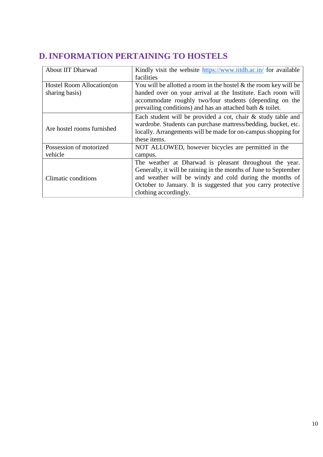## <span id="page-9-0"></span>**D.INFORMATION PERTAINING TO HOSTELS**

| About IIT Dharwad          | Kindly visit the website https://www.iitdh.ac.in/ for available     |
|----------------------------|---------------------------------------------------------------------|
|                            | facilities                                                          |
| Hostel Room Allocation (on | You will be allotted a room in the hostel $\&$ the room key will be |
| sharing basis)             | handed over on your arrival at the Institute. Each room will        |
|                            | accommodate roughly two/four students (depending on the             |
|                            | prevailing conditions) and has an attached bath & toilet.           |
|                            | Each student will be provided a cot, chair & study table and        |
|                            | wardrobe. Students can purchase mattress/bedding, bucket, etc.      |
| Are hostel rooms furnished | locally. Arrangements will be made for on-campus shopping for       |
|                            | these items.                                                        |
| Possession of motorized    | NOT ALLOWED, however bicycles are permitted in the                  |
| vehicle                    | campus.                                                             |
|                            | The weather at Dharwad is pleasant throughout the year.             |
|                            | Generally, it will be raining in the months of June to September    |
| Climatic conditions        | and weather will be windy and cold during the months of             |
|                            | October to January. It is suggested that you carry protective       |
|                            | clothing accordingly.                                               |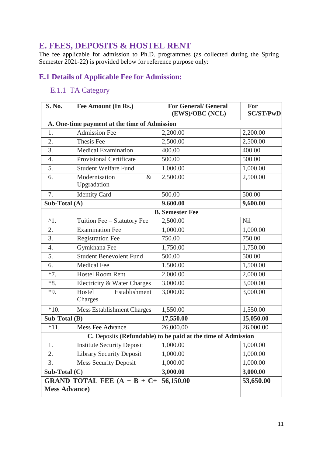## <span id="page-10-0"></span>**E. FEES, DEPOSITS & HOSTEL RENT**

The fee applicable for admission to Ph.D. programmes (as collected during the Spring Semester 2021-22) is provided below for reference purpose only:

## <span id="page-10-2"></span><span id="page-10-1"></span>**E.1 Details of Applicable Fee for Admission:**

## E.1.1 TA Category

| <b>S. No.</b>                                                             | Fee Amount (In Rs.)                          | <b>For General/ General</b><br>(EWS)/OBC (NCL)               | For<br><b>SC/ST/PwD</b> |
|---------------------------------------------------------------------------|----------------------------------------------|--------------------------------------------------------------|-------------------------|
|                                                                           | A. One-time payment at the time of Admission |                                                              |                         |
| 1.                                                                        | Admission Fee                                | 2,200.00                                                     | 2,200.00                |
| 2.                                                                        | Thesis Fee                                   | 2,500.00                                                     | 2,500.00                |
| 3.                                                                        | <b>Medical Examination</b>                   | 400.00                                                       | 400.00                  |
| 4.                                                                        | <b>Provisional Certificate</b>               | 500.00                                                       | 500.00                  |
| 5.                                                                        | <b>Student Welfare Fund</b>                  | 1,000.00                                                     | 1,000.00                |
| 6.                                                                        | Modernisation<br>$\&$<br>Upgradation         | 2,500.00                                                     | 2,500.00                |
| 7.                                                                        | <b>Identity Card</b>                         | 500.00                                                       | 500.00                  |
| Sub-Total (A)                                                             |                                              | 9,600.00                                                     | 9,600.00                |
| <b>B.</b> Semester Fee                                                    |                                              |                                                              |                         |
| $^{\wedge}1.$                                                             | Tuition Fee - Statutory Fee                  | 2,500.00                                                     | Nil                     |
| 2.                                                                        | <b>Examination Fee</b>                       | 1,000.00                                                     | 1,000.00                |
| 3.                                                                        | <b>Registration Fee</b>                      | 750.00                                                       | 750.00                  |
| $\overline{4}$ .                                                          | Gymkhana Fee                                 | 1,750.00                                                     | 1,750.00                |
| 5.                                                                        | <b>Student Benevolent Fund</b>               | 500.00                                                       | 500.00                  |
| 6.                                                                        | <b>Medical Fee</b>                           | 1,500.00                                                     | 1,500.00                |
| $*7.$                                                                     | <b>Hostel Room Rent</b>                      | 2,000.00                                                     | 2,000.00                |
| $*8.$                                                                     | Electricity & Water Charges                  | 3,000.00                                                     | 3,000.00                |
| $*9.$                                                                     | Hostel<br>Establishment<br>Charges           | 3,000.00                                                     | 3,000.00                |
| $*10.$                                                                    | <b>Mess Establishment Charges</b>            | 1,550.00                                                     | 1,550.00                |
| Sub-Total (B)                                                             |                                              | 17,550.00                                                    | 15,050.00               |
| $*11.$                                                                    | <b>Mess Fee Advance</b>                      | 26,000.00                                                    | 26,000.00               |
|                                                                           |                                              | C. Deposits (Refundable) to be paid at the time of Admission |                         |
| 1.                                                                        | <b>Institute Security Deposit</b>            | 1,000.00                                                     | 1,000.00                |
| 2.                                                                        | <b>Library Security Deposit</b>              | 1,000.00                                                     | 1,000.00                |
| 3.                                                                        | <b>Mess Security Deposit</b>                 | 1,000.00                                                     | 1,000.00                |
| Sub-Total $(C)$                                                           |                                              | 3,000.00                                                     | 3,000.00                |
| <b>GRAND TOTAL FEE <math>(A + B + C +</math></b><br><b>Mess Advance</b> ) |                                              | 56,150.00                                                    | 53,650.00               |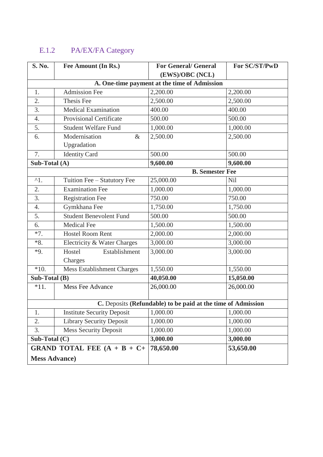## <span id="page-11-0"></span>E.1.2 PA/EX/FA Category

| <b>S. No.</b>         | Fee Amount (In Rs.)                  | <b>For General/ General</b>                                  | For SC/ST/PwD |
|-----------------------|--------------------------------------|--------------------------------------------------------------|---------------|
|                       |                                      | (EWS)/OBC (NCL)                                              |               |
|                       |                                      | A. One-time payment at the time of Admission                 |               |
| 1.                    | <b>Admission Fee</b>                 | 2,200.00                                                     | 2,200.00      |
| 2.                    | Thesis Fee                           | 2,500.00                                                     | 2,500.00      |
| 3.                    | <b>Medical Examination</b>           | 400.00                                                       | 400.00        |
| 4.                    | <b>Provisional Certificate</b>       | 500.00                                                       | 500.00        |
| 5.                    | <b>Student Welfare Fund</b>          | 1,000.00                                                     | 1,000.00      |
| 6.                    | Modernisation<br>$\&$<br>Upgradation | 2,500.00                                                     | 2,500.00      |
| 7.                    | <b>Identity Card</b>                 | 500.00                                                       | 500.00        |
| Sub-Total (A)         |                                      | 9,600.00                                                     | 9,600.00      |
|                       |                                      | <b>B.</b> Semester Fee                                       |               |
| $^{\wedge}1.$         | Tuition Fee - Statutory Fee          | 25,000.00                                                    | <b>Nil</b>    |
| 2.                    | <b>Examination Fee</b>               | 1,000.00                                                     | 1,000.00      |
| 3.                    | <b>Registration Fee</b>              | 750.00                                                       | 750.00        |
| 4.                    | Gymkhana Fee                         | 1,750.00                                                     | 1,750.00      |
| 5.                    | <b>Student Benevolent Fund</b>       | 500.00                                                       | 500.00        |
| 6.                    | Medical Fee                          | 1,500.00                                                     | 1,500.00      |
| $*7.$                 | <b>Hostel Room Rent</b>              | 2,000.00                                                     | 2,000.00      |
| $*8.$                 | Electricity & Water Charges          | 3,000.00                                                     | 3,000.00      |
| $*9.$                 | Hostel<br>Establishment<br>Charges   | 3,000.00                                                     | 3,000.00      |
| $*10.$                | <b>Mess Establishment Charges</b>    | 1,550.00                                                     | 1,550.00      |
| Sub-Total (B)         |                                      | 40,050.00                                                    | 15,050.00     |
| $*11.$                | <b>Mess Fee Advance</b>              | 26,000.00                                                    | 26,000.00     |
|                       |                                      | C. Deposits (Refundable) to be paid at the time of Admission |               |
| 1.                    | <b>Institute Security Deposit</b>    | 1,000.00                                                     | 1,000.00      |
| 2.                    | <b>Library Security Deposit</b>      | 1,000.00                                                     | 1,000.00      |
| 3.                    | <b>Mess Security Deposit</b>         | 1,000.00                                                     | 1,000.00      |
| Sub-Total $(C)$       |                                      | 3,000.00                                                     | 3,000.00      |
|                       | GRAND TOTAL FEE $(A + B + C +$       | 78,650.00                                                    | 53,650.00     |
| <b>Mess Advance</b> ) |                                      |                                                              |               |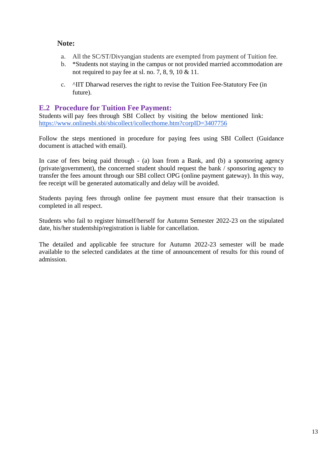#### **Note:**

- a. All the SC/ST/Divyangjan students are exempted from payment of Tuition fee.
- b. \*Students not staying in the campus or not provided married accommodation are not required to pay fee at sl. no. 7, 8, 9, 10 & 11.
- c. ^IIT Dharwad reserves the right to revise the Tuition Fee-Statutory Fee (in future).

#### <span id="page-12-0"></span>**E.2 Procedure for Tuition Fee Payment:**

Students will pay fees through SBI Collect by visiting the below mentioned link: <https://www.onlinesbi.sbi/sbicollect/icollecthome.htm?corpID=3407756>

Follow the steps mentioned in procedure for paying fees using SBI Collect (Guidance document is attached with email).

In case of fees being paid through - (a) loan from a Bank, and (b) a sponsoring agency (private/government), the concerned student should request the bank / sponsoring agency to transfer the fees amount through our SBI collect OPG (online payment gateway). In this way, fee receipt will be generated automatically and delay will be avoided.

Students paying fees through online fee payment must ensure that their transaction is completed in all respect.

Students who fail to register himself/herself for Autumn Semester 2022-23 on the stipulated date, his/her studentship/registration is liable for cancellation.

The detailed and applicable fee structure for Autumn 2022-23 semester will be made available to the selected candidates at the time of announcement of results for this round of admission.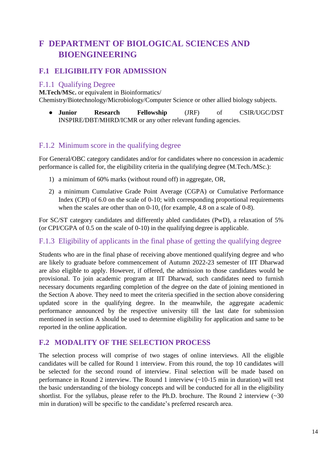## <span id="page-13-0"></span>**F DEPARTMENT OF BIOLOGICAL SCIENCES AND BIOENGINEERING**

### <span id="page-13-1"></span>**F.1 ELIGIBILITY FOR ADMISSION**

#### <span id="page-13-2"></span>F.1.1 Qualifying Degree

**M.Tech/MSc.** or equivalent in Bioinformatics/

Chemistry/Biotechnology/Microbiology/Computer Science or other allied biology subjects.

● **Junior Research Fellowship** (JRF) of CSIR/UGC/DST INSPIRE/DBT/MHRD/ICMR or any other relevant funding agencies.

#### <span id="page-13-3"></span>F.1.2 Minimum score in the qualifying degree

For General/OBC category candidates and/or for candidates where no concession in academic performance is called for, the eligibility criteria in the qualifying degree (M.Tech./MSc.):

- 1) a minimum of 60% marks (without round off) in aggregate, OR,
- 2) a minimum Cumulative Grade Point Average (CGPA) or Cumulative Performance Index (CPI) of 6.0 on the scale of 0-10; with corresponding proportional requirements when the scales are other than on 0-10, (for example, 4.8 on a scale of 0-8).

For SC/ST category candidates and differently abled candidates (PwD), a relaxation of 5% (or CPI/CGPA of 0.5 on the scale of 0-10) in the qualifying degree is applicable.

<span id="page-13-4"></span>F.1.3 Eligibility of applicants in the final phase of getting the qualifying degree

Students who are in the final phase of receiving above mentioned qualifying degree and who are likely to graduate before commencement of Autumn 2022-23 semester of IIT Dharwad are also eligible to apply. However, if offered, the admission to those candidates would be provisional. To join academic program at IIT Dharwad, such candidates need to furnish necessary documents regarding completion of the degree on the date of joining mentioned in the Section A above. They need to meet the criteria specified in the section above considering updated score in the qualifying degree. In the meanwhile, the aggregate academic performance announced by the respective university till the last date for submission mentioned in section A should be used to determine eligibility for application and same to be reported in the online application.

#### <span id="page-13-5"></span>**F.2 MODALITY OF THE SELECTION PROCESS**

The selection process will comprise of two stages of online interviews. All the eligible candidates will be called for Round 1 interview. From this round, the top 10 candidates will be selected for the second round of interview. Final selection will be made based on performance in Round 2 interview. The Round 1 interview (~10-15 min in duration) will test the basic understanding of the biology concepts and will be conducted for all in the eligibility shortlist. For the syllabus, please refer to the Ph.D. brochure. The Round 2 interview  $\sim 30$ min in duration) will be specific to the candidate's preferred research area.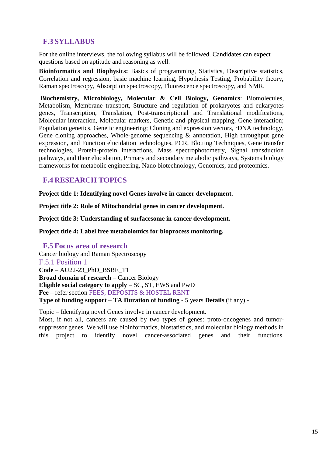## <span id="page-14-0"></span>**F.3 SYLLABUS**

For the online interviews, the following syllabus will be followed. Candidates can expect questions based on aptitude and reasoning as well.

**Bioinformatics and Biophysics:** Basics of programming, Statistics, Descriptive statistics, Correlation and regression, basic machine learning, Hypothesis Testing, Probability theory, Raman spectroscopy, Absorption spectroscopy, Fluorescence spectroscopy, and NMR.

**Biochemistry, Microbiology, Molecular & Cell Biology, Genomics**: Biomolecules, Metabolism, Membrane transport, Structure and regulation of prokaryotes and eukaryotes genes, Transcription, Translation, Post-transcriptional and Translational modifications, Molecular interaction, Molecular markers, Genetic and physical mapping, Gene interaction; Population genetics, Genetic engineering; Cloning and expression vectors, rDNA technology, Gene cloning approaches, Whole-genome sequencing  $\&$  annotation, High throughput gene expression, and Function elucidation technologies, PCR, Blotting Techniques, Gene transfer technologies, Protein-protein interactions, Mass spectrophotometry, Signal transduction pathways, and their elucidation, Primary and secondary metabolic pathways, Systems biology frameworks for metabolic engineering, Nano biotechnology, Genomics, and proteomics.

### <span id="page-14-1"></span>**F.4 RESEARCH TOPICS**

**Project title 1: Identifying novel Genes involve in cancer development.**

**Project title 2: Role of Mitochondrial genes in cancer development.**

**Project title 3: Understanding of surfacesome in cancer development.**

**Project title 4: Label free metabolomics for bioprocess monitoring.**

#### <span id="page-14-2"></span>**F.5 Focus area of research**

<span id="page-14-3"></span>Cancer biology and Raman Spectroscopy F.5.1 Position 1 **Code** – AU22-23\_PhD\_BSBE\_T1 **Broad domain of research** – Cancer Biology **Eligible social category to apply** – SC, ST, EWS and PwD **Fee** – refer section FEES, DEPOSITS & HOSTEL RENT **Type of funding support** – **TA Duration of funding** - 5 years **Details** (if any) -

Topic – Identifying novel Genes involve in cancer development.

Most, if not all, cancers are caused by two types of genes: proto-oncogenes and tumorsuppressor genes. We will use bioinformatics, biostatistics, and molecular biology methods in this project to identify novel cancer-associated genes and their functions.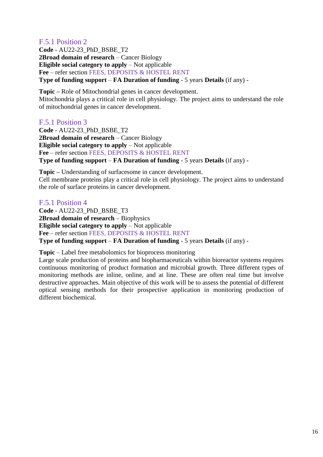#### <span id="page-15-0"></span>F.5.1 Position 2

**Code** - AU22-23\_PhD\_BSBE\_T2 **2Broad domain of research** – Cancer Biology **Eligible social category to apply** – Not applicable **Fee** – refer section FEES, DEPOSITS & HOSTEL RENT **Type of funding support** – **FA Duration of funding** - 5 years **Details** (if any) -

**Topic –** Role of Mitochondrial genes in cancer development. Mitochondria plays a critical role in cell physiology. The project aims to understand the role of mitochondrial genes in cancer development.

#### <span id="page-15-1"></span>F.5.1 Position 3

**Code** - AU22-23\_PhD\_BSBE\_T2 **2Broad domain of research** – Cancer Biology **Eligible social category to apply** – Not applicable **Fee** – refer section FEES, DEPOSITS & HOSTEL RENT **Type of funding support** – **FA Duration of funding** - 5 years **Details** (if any) -

**Topic –** Understanding of surfacesome in cancer development. Cell membrane proteins play a critical role in cell physiology. The project aims to understand the role of surface proteins in cancer development.

#### <span id="page-15-2"></span>F.5.1 Position 4

**Code** - AU22-23\_PhD\_BSBE\_T3 **2Broad domain of research** – Biophysics **Eligible social category to apply** – Not applicable **Fee** – refer section FEES, DEPOSITS & HOSTEL RENT **Type of funding support** – **FA Duration of funding** - 5 years **Details** (if any) -

**Topic** – Label free metabolomics for bioprocess monitoring

Large scale production of proteins and biopharmaceuticals within bioreactor systems requires continuous monitoring of product formation and microbial growth. Three different types of monitoring methods are inline, online, and at line. These are often real time but involve destructive approaches. Main objective of this work will be to assess the potential of different optical sensing methods for their prospective application in monitoring production of different biochemical.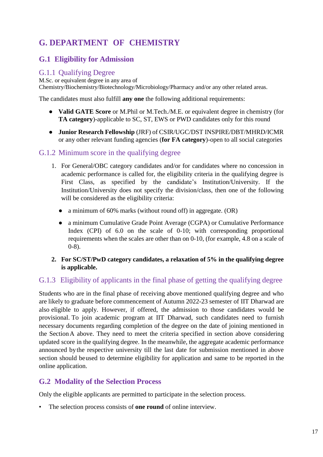## <span id="page-16-0"></span>**G. DEPARTMENT OF CHEMISTRY**

## <span id="page-16-1"></span>**G.1 Eligibility for Admission**

#### <span id="page-16-2"></span>G.1.1 Qualifying Degree

M.Sc. or equivalent degree in any area of Chemistry/Biochemistry/Biotechnology/Microbiology/Pharmacy and/or any other related areas.

The candidates must also fulfill **any one** the following additional requirements:

- **Valid GATE Score** or M.Phil or M.Tech./M.E. or equivalent degree in chemistry (for **TA category**)-applicable to SC, ST, EWS or PWD candidates only for this round
- **Junior Research Fellowship** (JRF) of CSIR/UGC/DST INSPIRE/DBT/MHRD/ICMR or any other relevant funding agencies (**for FA category**)-open to all social categories

#### <span id="page-16-3"></span>G.1.2 Minimum score in the qualifying degree

- 1. For General/OBC category candidates and/or for candidates where no concession in academic performance is called for, the eligibility criteria in the qualifying degree is First Class, as specified by the candidate's Institution/University. If the Institution/University does not specify the division/class, then one of the following will be considered as the eligibility criteria:
	- a minimum of 60% marks (without round off) in aggregate. (OR)
	- a minimum Cumulative Grade Point Average (CGPA) or Cumulative Performance Index (CPI) of 6.0 on the scale of 0-10; with corresponding proportional requirements when the scales are other than on 0-10, (for example, 4.8 on a scale of 0-8).
- **2. For SC/ST/PwD category candidates, a relaxation of 5% in the qualifying degree is applicable.**

#### <span id="page-16-4"></span>G.1.3 Eligibility of applicants in the final phase of getting the qualifying degree

Students who are in the final phase of receiving above mentioned qualifying degree and who are likely to graduate before commencement of Autumn 2022-23 semester of IIT Dharwad are also eligible to apply. However, if offered, the admission to those candidates would be provisional. To join academic program at IIT Dharwad, such candidates need to furnish necessary documents regarding completion of the degree on the date of joining mentioned in the SectionA above. They need to meet the criteria specified in section above considering updated score in the qualifying degree. In the meanwhile, the aggregate academic performance announced bythe respective university till the last date for submission mentioned in above section should beused to determine eligibility for application and same to be reported in the online application.

#### <span id="page-16-5"></span>**G.2 Modality of the Selection Process**

Only the eligible applicants are permitted to participate in the selection process.

• The selection process consists of **one round** of online interview.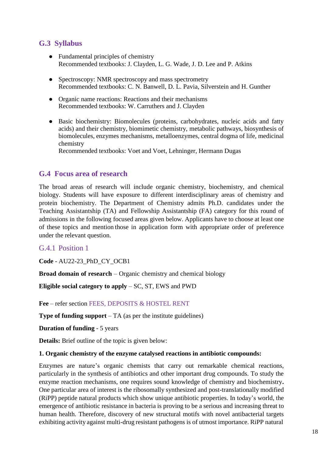## <span id="page-17-0"></span>**G.3 Syllabus**

- Fundamental principles of chemistry Recommended textbooks: J. Clayden, L. G. Wade, J. D. Lee and P. Atkins
- Spectroscopy: NMR spectroscopy and mass spectrometry Recommended textbooks: C. N. Banwell, D. L. Pavia, Silverstein and H. Gunther
- Organic name reactions: Reactions and their mechanisms Recommended textbooks: W. Carruthers and J. Clayden
- Basic biochemistry: Biomolecules (proteins, carbohydrates, nucleic acids and fatty acids) and their chemistry, biomimetic chemistry, metabolic pathways, biosynthesis of biomolecules, enzymes mechanisms, metalloenzymes, central dogma of life, medicinal chemistry

Recommended textbooks: Voet and Voet, Lehninger, Hermann Dugas

#### <span id="page-17-1"></span>**G.4 Focus area of research**

The broad areas of research will include organic chemistry, biochemistry, and chemical biology. Students will have exposure to different interdisciplinary areas of chemistry and protein biochemistry. The Department of Chemistry admits Ph.D. candidates under the Teaching Assistantship (TA) and Fellowship Assistantship (FA) category for this round of admissions in the following focused areas given below. Applicants have to choose at least one of these topics and mention those in application form with appropriate order of preference under the relevant question.

#### <span id="page-17-2"></span>G.4.1 Position 1

**Code** - AU22-23\_PhD\_CY\_OCB1

**Broad domain of research** – Organic chemistry and chemical biology

**Eligible social category to apply** – SC, ST, EWS and PWD

**Fee** – refer section FEES, DEPOSITS & HOSTEL RENT

**Type of funding support** – TA (as per the institute guidelines)

**Duration of funding** - 5 years

**Details:** Brief outline of the topic is given below:

#### **1. Organic chemistry of the enzyme catalysed reactions in antibiotic compounds:**

Enzymes are nature's organic chemists that carry out remarkable chemical reactions, particularly in the synthesis of antibiotics and other important drug compounds. To study the enzyme reaction mechanisms, one requires sound knowledge of chemistry and biochemistry**.** One particular area of interest is the ribosomally synthesized and post-translationally modified (RiPP) peptide natural products which show unique antibiotic properties. In today's world, the emergence of antibiotic resistance in bacteria is proving to be a serious and increasing threat to human health. Therefore, discovery of new structural motifs with novel antibacterial targets exhibiting activity against multi-drug resistant pathogens is of utmost importance. RiPP natural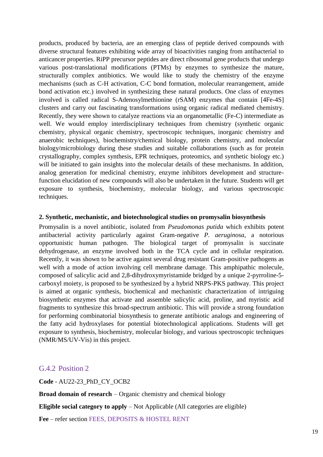products, produced by bacteria, are an emerging class of peptide derived compounds with diverse structural features exhibiting wide array of bioactivities ranging from antibacterial to anticancer properties. RiPP precursor peptides are direct ribosomal gene products that undergo various post-translational modifications (PTMs) by enzymes to synthesize the mature, structurally complex antibiotics. We would like to study the chemistry of the enzyme mechanisms (such as C-H activation, C-C bond formation, molecular rearrangement, amide bond activation etc.) involved in synthesizing these natural products. One class of enzymes involved is called radical S-Adenosylmethionine (rSAM) enzymes that contain [4Fe-4S] clusters and carry out fascinating transformations using organic radical mediated chemistry. Recently, they were shown to catalyze reactions via an organometallic (Fe-C) intermediate as well. We would employ interdisciplinary techniques from chemistry (synthetic organic chemistry, physical organic chemistry, spectroscopic techniques, inorganic chemistry and anaerobic techniques), biochemistry/chemical biology, protein chemistry, and molecular biology/microbiology during these studies and suitable collaborations (such as for protein crystallography, complex synthesis, EPR techniques, proteomics, and synthetic biology etc.) will be initiated to gain insights into the molecular details of these mechanisms. In addition, analog generation for medicinal chemistry, enzyme inhibitors development and structurefunction elucidation of new compounds will also be undertaken in the future. Students will get exposure to synthesis, biochemistry, molecular biology, and various spectroscopic techniques.

#### **2. Synthetic, mechanistic, and biotechnological studies on promysalin biosynthesis**

Promysalin is a novel antibiotic, isolated from *Pseudomonas putida* which exhibits potent antibacterial activity particularly against Gram-negative *P. aeruginosa*, a notorious opportunistic human pathogen. The biological target of promysalin is succinate dehydrogenase, an enzyme involved both in the TCA cycle and in cellular respiration. Recently, it was shown to be active against several drug resistant Gram-positive pathogens as well with a mode of action involving cell membrane damage. This amphipathic molecule, composed of salicylic acid and 2,8-dihydroxymyristamide bridged by a unique 2-pyrroline-5 carboxyl moiety, is proposed to be synthesized by a hybrid NRPS-PKS pathway. This project is aimed at organic synthesis, biochemical and mechanistic characterization of intriguing biosynthetic enzymes that activate and assemble salicylic acid, proline, and myristic acid fragments to synthesize this broad-spectrum antibiotic. This will provide a strong foundation for performing combinatorial biosynthesis to generate antibiotic analogs and engineering of the fatty acid hydroxylases for potential biotechnological applications. Students will get exposure to synthesis, biochemistry, molecular biology, and various spectroscopic techniques (NMR/MS/UV-Vis) in this project.

#### <span id="page-18-0"></span>G.4.2 Position 2

**Code** - AU22-23\_PhD\_CY\_OCB2

**Broad domain of research** – Organic chemistry and chemical biology

**Eligible social category to apply** – Not Applicable (All categories are eligible)

**Fee** – refer section FEES, DEPOSITS & HOSTEL RENT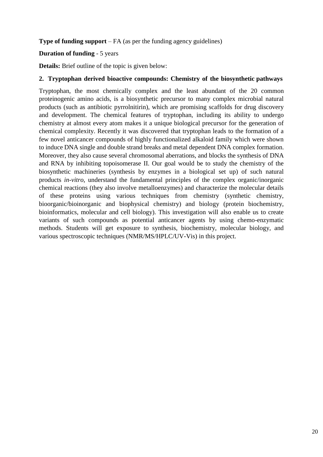#### **Type of funding support** – FA (as per the funding agency guidelines)

#### **Duration of funding** - 5 years

**Details:** Brief outline of the topic is given below:

#### **2. Tryptophan derived bioactive compounds: Chemistry of the biosynthetic pathways**

Tryptophan, the most chemically complex and the least abundant of the 20 common proteinogenic amino acids, is a biosynthetic precursor to many complex microbial natural products (such as antibiotic pyrrolnitirin), which are promising scaffolds for drug discovery and development. The chemical features of tryptophan, including its ability to undergo chemistry at almost every atom makes it a unique biological precursor for the generation of chemical complexity. Recently it was discovered that tryptophan leads to the formation of a few novel anticancer compounds of highly functionalized alkaloid family which were shown to induce DNA single and double strand breaks and metal dependent DNA complex formation. Moreover, they also cause several chromosomal aberrations, and blocks the synthesis of DNA and RNA by inhibiting topoisomerase II. Our goal would be to study the chemistry of the biosynthetic machineries (synthesis by enzymes in a biological set up) of such natural products *in-vitro*, understand the fundamental principles of the complex organic/inorganic chemical reactions (they also involve metalloenzymes) and characterize the molecular details of these proteins using various techniques from chemistry (synthetic chemistry, bioorganic/bioinorganic and biophysical chemistry) and biology (protein biochemistry, bioinformatics, molecular and cell biology). This investigation will also enable us to create variants of such compounds as potential anticancer agents by using chemo-enzymatic methods. Students will get exposure to synthesis, biochemistry, molecular biology, and various spectroscopic techniques (NMR/MS/HPLC/UV-Vis) in this project.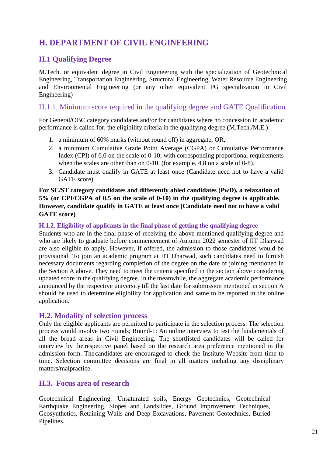## <span id="page-20-0"></span>**H. DEPARTMENT OF CIVIL ENGINEERING**

## <span id="page-20-1"></span>**H.1 Qualifying Degree**

M.Tech. or equivalent degree in Civil Engineering with the specialization of Geotechnical Engineering, Transportation Engineering, Structural Engineering, Water Resource Engineering and Environmental Engineering (or any other equivalent PG specialization in Civil Engineering)

#### <span id="page-20-2"></span>H.1.1. Minimum score required in the qualifying degree and GATE Qualification

For General/OBC category candidates and/or for candidates where no concession in academic performance is called for, the eligibility criteria in the qualifying degree (M.Tech./M.E.):

- 1. a minimum of 60% marks (without round off) in aggregate, OR,
- 2. a minimum Cumulative Grade Point Average (CGPA) or Cumulative Performance Index (CPI) of 6.0 on the scale of 0-10; with corresponding proportional requirements when the scales are other than on 0-10, (for example, 4.8 on a scale of 0-8).
- 3. Candidate must qualify in GATE at least once (Candidate need not to have a valid GATE score)

#### **For SC/ST category candidates and differently abled candidates (PwD), a relaxation of 5% (or CPI/CGPA of 0.5 on the scale of 0-10) in the qualifying degree is applicable. However, candidate qualify in GATE at least once (Candidate need not to have a valid GATE score)**

#### **H.1.2. Eligibility of applicants in the final phase of getting the qualifying degree**

Students who are in the final phase of receiving the above-mentioned qualifying degree and who are likely to graduate before commencement of Autumn 2022 semester of IIT Dharwad are also eligible to apply. However, if offered, the admission to those candidates would be provisional. To join an academic program at IIT Dharwad, such candidates need to furnish necessary documents regarding completion of the degree on the date of joining mentioned in the Section A above. They need to meet the criteria specified in the section above considering updated score in the qualifying degree. In the meanwhile, the aggregate academic performance announced by the respective university till the last date for submission mentioned in section A should be used to determine eligibility for application and same to be reported in the online application.

#### <span id="page-20-3"></span>**H.2. Modality of selection process**

Only the eligible applicants are permitted to participate in the selection process. The selection process would involve two rounds; Round-1: An online interview to test the fundamentals of all the broad areas in Civil Engineering. The shortlisted candidates will be called for interview by the respective panel based on the research area preference mentioned in the admission form. The candidates are encouraged to check the Institute Website from time to time. Selection committee decisions are final in all matters including any disciplinary matters/malpractice.

#### <span id="page-20-4"></span>**H.3. Focus area of research**

Geotechnical Engineering: Unsaturated soils, Energy Geotechnics, Geotechnical Earthquake Engineering, Slopes and Landslides, Ground Improvement Techniques, Geosynthetics, Retaining Walls and Deep Excavations, Pavement Geotechnics, Buried Pipelines.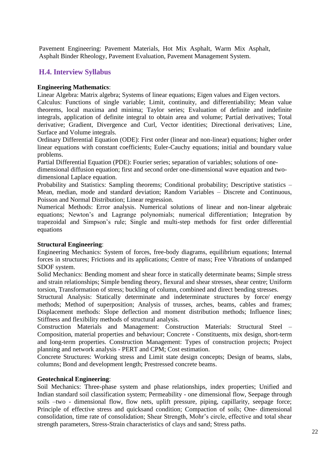Pavement Engineering: Pavement Materials, Hot Mix Asphalt, Warm Mix Asphalt, Asphalt Binder Rheology, Pavement Evaluation, Pavement Management System.

#### <span id="page-21-0"></span>**H.4. Interview Syllabus**

#### **Engineering Mathematics**:

Linear Algebra: Matrix algebra; Systems of linear equations; Eigen values and Eigen vectors.

Calculus: Functions of single variable; Limit, continuity, and differentiability; Mean value theorems, local maxima and minima; Taylor series; Evaluation of definite and indefinite integrals, application of definite integral to obtain area and volume; Partial derivatives; Total derivative; Gradient, Divergence and Curl, Vector identities; Directional derivatives; Line, Surface and Volume integrals.

Ordinary Differential Equation (ODE): First order (linear and non-linear) equations; higher order linear equations with constant coefficients; Euler-Cauchy equations; initial and boundary value problems.

Partial Differential Equation (PDE): Fourier series; separation of variables; solutions of one-

dimensional diffusion equation; first and second order one-dimensional wave equation and twodimensional Laplace equation.

Probability and Statistics: Sampling theorems; Conditional probability; Descriptive statistics – Mean, median, mode and standard deviation; Random Variables – Discrete and Continuous, Poisson and Normal Distribution; Linear regression.

Numerical Methods: Error analysis. Numerical solutions of linear and non-linear algebraic equations; Newton's and Lagrange polynomials; numerical differentiation; Integration by trapezoidal and Simpson's rule; Single and multi-step methods for first order differential equations

#### **Structural Engineering**:

Engineering Mechanics: System of forces, free-body diagrams, equilibrium equations; Internal forces in structures; Frictions and its applications; Centre of mass; Free Vibrations of undamped SDOF system.

Solid Mechanics: Bending moment and shear force in statically determinate beams; Simple stress and strain relationships; Simple bending theory, flexural and shear stresses, shear centre; Uniform torsion, Transformation of stress; buckling of column, combined and direct bending stresses.

Structural Analysis: Statically determinate and indeterminate structures by force/ energy methods; Method of superposition; Analysis of trusses, arches, beams, cables and frames; Displacement methods: Slope deflection and moment distribution methods; Influence lines; Stiffness and flexibility methods of structural analysis.

Construction Materials and Management: Construction Materials: Structural Steel – Composition, material properties and behaviour; Concrete - Constituents, mix design, short-term and long-term properties. Construction Management: Types of construction projects; Project planning and network analysis - PERT and CPM; Cost estimation.

Concrete Structures: Working stress and Limit state design concepts; Design of beams, slabs, columns; Bond and development length; Prestressed concrete beams.

#### **Geotechnical Engineering**:

Soil Mechanics: Three-phase system and phase relationships, index properties; Unified and Indian standard soil classification system; Permeability - one dimensional flow, Seepage through soils –two - dimensional flow, flow nets, uplift pressure, piping, capillarity, seepage force; Principle of effective stress and quicksand condition; Compaction of soils; One- dimensional consolidation, time rate of consolidation; Shear Strength, Mohr's circle, effective and total shear strength parameters, Stress-Strain characteristics of clays and sand; Stress paths.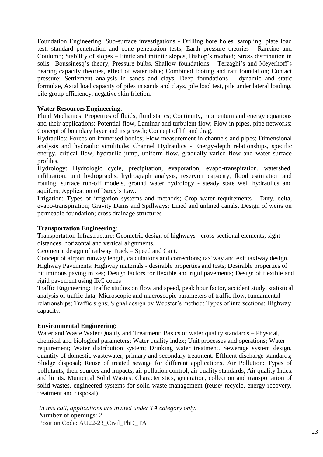Foundation Engineering: Sub-surface investigations - Drilling bore holes, sampling, plate load test, standard penetration and cone penetration tests; Earth pressure theories - Rankine and Coulomb; Stability of slopes – Finite and infinite slopes, Bishop's method; Stress distribution in soils –Boussinesq's theory; Pressure bulbs, Shallow foundations – Terzaghi's and Meyerhoff's bearing capacity theories, effect of water table; Combined footing and raft foundation; Contact pressure; Settlement analysis in sands and clays; Deep foundations – dynamic and static formulae, Axial load capacity of piles in sands and clays, pile load test, pile under lateral loading, pile group efficiency, negative skin friction.

#### **Water Resources Engineering**:

Fluid Mechanics: Properties of fluids, fluid statics; Continuity, momentum and energy equations and their applications; Potential flow, Laminar and turbulent flow; Flow in pipes, pipe networks; Concept of boundary layer and its growth; Concept of lift and drag.

Hydraulics: Forces on immersed bodies; Flow measurement in channels and pipes; Dimensional analysis and hydraulic similitude; Channel Hydraulics - Energy-depth relationships, specific energy, critical flow, hydraulic jump, uniform flow, gradually varied flow and water surface profiles.

Hydrology: Hydrologic cycle, precipitation, evaporation, evapo-transpiration, watershed, infiltration, unit hydrographs, hydrograph analysis, reservoir capacity, flood estimation and routing, surface run-off models, ground water hydrology - steady state well hydraulics and aquifers; Application of Darcy's Law.

Irrigation: Types of irrigation systems and methods; Crop water requirements - Duty, delta, evapo-transpiration; Gravity Dams and Spillways; Lined and unlined canals, Design of weirs on permeable foundation; cross drainage structures

#### **Transportation Engineering**:

Transportation Infrastructure: Geometric design of highways - cross-sectional elements, sight distances, horizontal and vertical alignments.

Geometric design of railway Track – Speed and Cant.

Concept of airport runway length, calculations and corrections; taxiway and exit taxiway design. Highway Pavements: Highway materials - desirable properties and tests; Desirable properties of bituminous paving mixes; Design factors for flexible and rigid pavements; Design of flexible and rigid pavement using IRC codes

Traffic Engineering: Traffic studies on flow and speed, peak hour factor, accident study, statistical analysis of traffic data; Microscopic and macroscopic parameters of traffic flow, fundamental relationships; Traffic signs; Signal design by Webster's method; Types of intersections; Highway capacity.

#### **Environmental Engineering:**

Water and Waste Water Quality and Treatment: Basics of water quality standards – Physical, chemical and biological parameters; Water quality index; Unit processes and operations; Water requirement; Water distribution system; Drinking water treatment. Sewerage system design, quantity of domestic wastewater, primary and secondary treatment. Effluent discharge standards; Sludge disposal; Reuse of treated sewage for different applications. Air Pollution: Types of pollutants, their sources and impacts, air pollution control, air quality standards, Air quality Index and limits. Municipal Solid Wastes: Characteristics, generation, collection and transportation of solid wastes, engineered systems for solid waste management (reuse/ recycle, energy recovery, treatment and disposal)

*In this call, applications are invited under TA category only*. **Number of openings**: 2 Position Code: AU22-23\_Civil\_PhD\_TA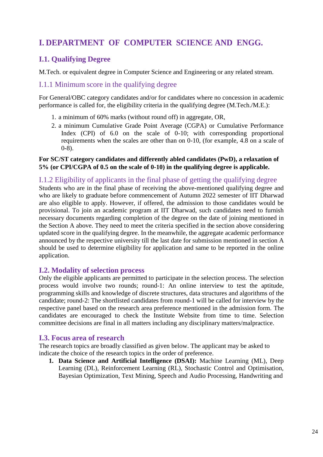## <span id="page-23-0"></span>**I. DEPARTMENT OF COMPUTER SCIENCE AND ENGG.**

## <span id="page-23-1"></span>**I.1. Qualifying Degree**

M.Tech. or equivalent degree in Computer Science and Engineering or any related stream.

#### <span id="page-23-2"></span>I.1.1 Minimum score in the qualifying degree

For General/OBC category candidates and/or for candidates where no concession in academic performance is called for, the eligibility criteria in the qualifying degree (M.Tech./M.E.):

- 1. a minimum of 60% marks (without round off) in aggregate, OR,
- 2. a minimum Cumulative Grade Point Average (CGPA) or Cumulative Performance Index (CPI) of 6.0 on the scale of 0-10; with corresponding proportional requirements when the scales are other than on 0-10, (for example, 4.8 on a scale of 0-8).

#### **For SC/ST category candidates and differently abled candidates (PwD), a relaxation of 5% (or CPI/CGPA of 0.5 on the scale of 0-10) in the qualifying degree is applicable.**

#### <span id="page-23-3"></span>I.1.2 Eligibility of applicants in the final phase of getting the qualifying degree

Students who are in the final phase of receiving the above-mentioned qualifying degree and who are likely to graduate before commencement of Autumn 2022 semester of IIT Dharwad are also eligible to apply. However, if offered, the admission to those candidates would be provisional. To join an academic program at IIT Dharwad, such candidates need to furnish necessary documents regarding completion of the degree on the date of joining mentioned in the Section A above. They need to meet the criteria specified in the section above considering updated score in the qualifying degree. In the meanwhile, the aggregate academic performance announced by the respective university till the last date for submission mentioned in section A should be used to determine eligibility for application and same to be reported in the online application.

#### <span id="page-23-4"></span>**I.2. Modality of selection process**

Only the eligible applicants are permitted to participate in the selection process. The selection process would involve two rounds; round-1: An online interview to test the aptitude, programming skills and knowledge of discrete structures, data structures and algorithms of the candidate; round-2: The shortlisted candidates from round-1 will be called for interview by the respective panel based on the research area preference mentioned in the admission form. The candidates are encouraged to check the Institute Website from time to time. Selection committee decisions are final in all matters including any disciplinary matters/malpractice.

#### <span id="page-23-5"></span>**I.3. Focus area of research**

The research topics are broadly classified as given below. The applicant may be asked to indicate the choice of the research topics in the order of preference.

**1. Data Science and Artificial Intelligence (DSAI):** Machine Learning (ML), Deep Learning (DL), Reinforcement Learning (RL), Stochastic Control and Optimisation, Bayesian Optimization, Text Mining, Speech and Audio Processing, Handwriting and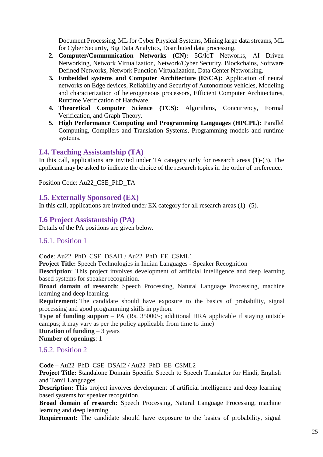Document Processing, ML for Cyber Physical Systems, Mining large data streams, ML for Cyber Security, Big Data Analytics, Distributed data processing.

- **2. Computer/Communication Networks (CN):** 5G/IoT Networks, AI Driven Networking, Network Virtualization, Network/Cyber Security, Blockchains, Software Defined Networks, Network Function Virtualization, Data Center Networking.
- **3. Embedded systems and Computer Architecture (ESCA):** Application of neural networks on Edge devices, Reliability and Security of Autonomous vehicles, Modeling and characterization of heterogeneous processors, Efficient Computer Architectures, Runtime Verification of Hardware.
- **4. Theoretical Computer Science (TCS):** Algorithms, Concurrency, Formal Verification, and Graph Theory.
- **5. High Performance Computing and Programming Languages (HPCPL):** Parallel Computing, Compilers and Translation Systems, Programming models and runtime systems.

#### <span id="page-24-0"></span>**I.4. Teaching Assistantship (TA)**

In this call, applications are invited under TA category only for research areas (1)-(3). The applicant may be asked to indicate the choice of the research topics in the order of preference.

Position Code: Au22\_CSE\_PhD\_TA

#### <span id="page-24-1"></span>**I.5. Externally Sponsored (EX)**

In this call, applications are invited under EX category for all research areas (1) -(5).

#### <span id="page-24-2"></span>**I.6 Project Assistantship (PA)**

Details of the PA positions are given below.

#### <span id="page-24-3"></span>I.6.1. Position 1

**Code**: Au22\_PhD\_CSE\_DSAI1 / Au22\_PhD\_EE\_CSML1

**Project Title:** Speech Technologies in Indian Languages - Speaker Recognition

**Description**: This project involves development of artificial intelligence and deep learning based systems for speaker recognition.

**Broad domain of research**: Speech Processing, Natural Language Processing, machine learning and deep learning.

**Requirement:** The candidate should have exposure to the basics of probability, signal processing and good programming skills in python.

**Type of funding support** – PA (Rs. 35000/-; additional HRA applicable if staying outside campus; it may vary as per the policy applicable from time to time)

**Duration of funding** – 3 years

**Number of openings**: 1

#### <span id="page-24-4"></span>I.6.2. Position 2

**Code –** Au22\_PhD\_CSE\_DSAI2 / Au22\_PhD\_EE\_CSML2

**Project Title:** Standalone Domain Specific Speech to Speech Translator for Hindi, English and Tamil Languages

**Description:** This project involves development of artificial intelligence and deep learning based systems for speaker recognition.

**Broad domain of research:** Speech Processing, Natural Language Processing, machine learning and deep learning.

**Requirement:** The candidate should have exposure to the basics of probability, signal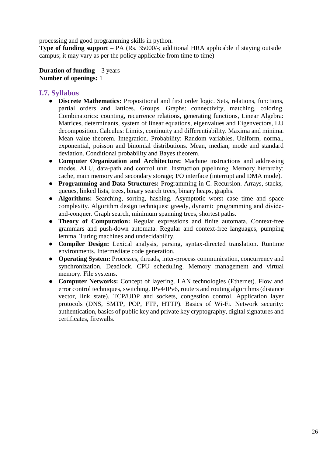processing and good programming skills in python.

**Type of funding support** – PA (Rs. 35000/-; additional HRA applicable if staying outside campus; it may vary as per the policy applicable from time to time)

**Duration of funding –** 3 years **Number of openings:** 1

#### <span id="page-25-0"></span>**I.7. Syllabus**

- **Discrete Mathematics:** Propositional and first order logic. Sets, relations, functions, partial orders and lattices. Groups. Graphs: connectivity, matching, coloring. Combinatorics: counting, recurrence relations, generating functions, Linear Algebra: Matrices, determinants, system of linear equations, eigenvalues and Eigenvectors, LU decomposition. Calculus: Limits, continuity and differentiability. Maxima and minima. Mean value theorem. Integration. Probability: Random variables. Uniform, normal, exponential, poisson and binomial distributions. Mean, median, mode and standard deviation. Conditional probability and Bayes theorem.
- **Computer Organization and Architecture:** Machine instructions and addressing modes. ALU, data‐path and control unit. Instruction pipelining. Memory hierarchy: cache, main memory and secondary storage; I/O interface (interrupt and DMA mode).
- **Programming and Data Structures:** Programming in C. Recursion. Arrays, stacks, queues, linked lists, trees, binary search trees, binary heaps, graphs.
- **Algorithms:** Searching, sorting, hashing. Asymptotic worst case time and space complexity. Algorithm design techniques: greedy, dynamic programming and divideand‐conquer. Graph search, minimum spanning trees, shortest paths.
- **Theory of Computation:** Regular expressions and finite automata. Context-free grammars and push-down automata. Regular and context-free languages, pumping lemma. Turing machines and undecidability.
- **Compiler Design:** Lexical analysis, parsing, syntax-directed translation. Runtime environments. Intermediate code generation.
- **Operating System:** Processes, threads, inter-process communication, concurrency and synchronization. Deadlock. CPU scheduling. Memory management and virtual memory. File systems.
- **Computer Networks:** Concept of layering. LAN technologies (Ethernet). Flow and error control techniques, switching. IPv4/IPv6, routers and routing algorithms (distance vector, link state). TCP/UDP and sockets, congestion control. Application layer protocols (DNS, SMTP, POP, FTP, HTTP). Basics of Wi-Fi. Network security: authentication, basics of public key and private key cryptography, digital signatures and certificates, firewalls.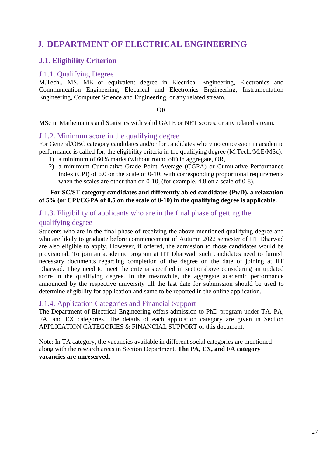## <span id="page-26-0"></span>**J. DEPARTMENT OF ELECTRICAL ENGINEERING**

## <span id="page-26-1"></span>**J.1. Eligibility Criterion**

#### <span id="page-26-2"></span>J.1.1. Qualifying Degree

M.Tech., MS, ME or equivalent degree in Electrical Engineering, Electronics and Communication Engineering, Electrical and Electronics Engineering, Instrumentation Engineering, Computer Science and Engineering, or any related stream.

#### OR

MSc in Mathematics and Statistics with valid GATE or NET scores, or any related stream.

#### <span id="page-26-3"></span>J.1.2. Minimum score in the qualifying degree

For General/OBC category candidates and/or for candidates where no concession in academic performance is called for, the eligibility criteria in the qualifying degree (M.Tech./M.E/MSc):

- 1) a minimum of 60% marks (without round off) in aggregate, OR,
- 2) a minimum Cumulative Grade Point Average (CGPA) or Cumulative Performance Index (CPI) of 6.0 on the scale of 0-10; with corresponding proportional requirements when the scales are other than on 0-10, (for example, 4.8 on a scale of 0-8).

#### **For SC/ST category candidates and differently abled candidates (PwD), a relaxation of 5% (or CPI/CGPA of 0.5 on the scale of 0-10) in the qualifying degree is applicable.**

## <span id="page-26-4"></span>J.1.3. Eligibility of applicants who are in the final phase of getting the

#### qualifying degree

Students who are in the final phase of receiving the above-mentioned qualifying degree and who are likely to graduate before commencement of Autumn 2022 semester of IIT Dharwad are also eligible to apply. However, if offered, the admission to those candidates would be provisional. To join an academic program at IIT Dharwad, such candidates need to furnish necessary documents regarding completion of the degree on the date of joining at IIT Dharwad. They need to meet the criteria specified in sectionabove considering an updated score in the qualifying degree. In the meanwhile, the aggregate academic performance announced by the respective university till the last date for submission should be used to determine eligibility for application and same to be reported in the online application.

#### <span id="page-26-5"></span>J.1.4. Application Categories and Financial Support

The Department of Electrical Engineering offers admission to PhD program under TA, PA, FA, and EX categories. The details of each application category are given in Section APPLICATION CATEGORIES & FINANCIAL SUPPORT of this document.

Note: In TA category, the vacancies available in different social categories are mentioned along with the research areas in Section Department. **The PA, EX, and FA category vacancies are unreserved.**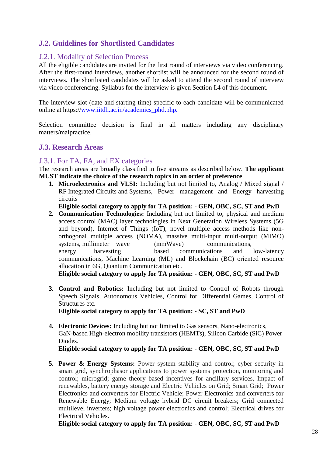### <span id="page-27-0"></span>**J.2. Guidelines for Shortlisted Candidates**

#### <span id="page-27-1"></span>J.2.1. Modality of Selection Process

All the eligible candidates are invited for the first round of interviews via video conferencing. After the first-round interviews, another shortlist will be announced for the second round of interviews. The shortlisted candidates will be asked to attend the second round of interview via video conferencing. Syllabus for the interview is given Section I.4 of this document.

The interview slot (date and starting time) specific to each candidate will be communicated online at https:/[/www.iitdh.ac.in/academics\\_phd.php.](http://www.iitdh.ac.in/academics_phd.php.)

Selection committee decision is final in all matters including any disciplinary matters/malpractice.

#### <span id="page-27-2"></span>**J.3. Research Areas**

#### <span id="page-27-3"></span>J.3.1. For TA, FA, and EX categories

The research areas are broadly classified in five streams as described below. **The applicant MUST indicate the choice of the research topics in an order of preference**.

**1. Microelectronics and VLSI:** Including but not limited to, Analog / Mixed signal / RF Integrated Circuits and Systems, Power management and Energy harvesting circuits

**Eligible social category to apply for TA position: - GEN, OBC, SC, ST and PwD**

**2. Communication Technologies:** Including but not limited to, physical and medium access control (MAC) layer technologies in Next Generation Wireless Systems (5G and beyond), Internet of Things (IoT), novel multiple access methods like nonorthogonal multiple access (NOMA), massive multi-input multi-output (MIMO) systems, millimeter wave (mmWave) communications, energy harvesting based communications and low-latency communications, Machine Learning (ML) and Blockchain (BC) oriented resource allocation in 6G, Quantum Communication etc.

**Eligible social category to apply for TA position: - GEN, OBC, SC, ST and PwD**

**3. Control and Robotics:** Including but not limited to Control of Robots through Speech Signals, Autonomous Vehicles, Control for Differential Games, Control of Structures etc.

**Eligible social category to apply for TA position: - SC, ST and PwD**

**4. Electronic Devices:** Including but not limited to Gas sensors, Nano-electronics, GaN-based High-electron mobility transistors (HEMTs), Silicon Carbide (SiC) Power Diodes.

**Eligible social category to apply for TA position: - GEN, OBC, SC, ST and PwD**

**5. Power & Energy Systems:** Power system stability and control; cyber security in smart grid, synchrophasor applications to power systems protection, monitoring and control; microgrid; game theory based incentives for ancillary services, Impact of renewables, battery energy storage and Electric Vehicles on Grid; Smart Grid; Power Electronics and converters for Electric Vehicle; Power Electronics and converters for Renewable Energy; Medium voltage hybrid DC circuit breakers; Grid connected multilevel inverters; high voltage power electronics and control; Electrical drives for Electrical Vehicles.

**Eligible social category to apply for TA position: - GEN, OBC, SC, ST and PwD**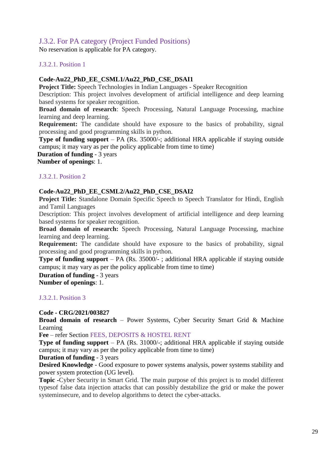### <span id="page-28-0"></span>J.3.2. For PA category (Project Funded Positions)

No reservation is applicable for PA category.

#### J.3.2.1. Position 1

#### **Code**-**Au22\_PhD\_EE\_CSML1/Au22\_PhD\_CSE\_DSAI1**

 **Project Title:** Speech Technologies in Indian Languages - Speaker Recognition

Description: This project involves development of artificial intelligence and deep learning based systems for speaker recognition.

**Broad domain of research**: Speech Processing, Natural Language Processing, machine learning and deep learning.

**Requirement:** The candidate should have exposure to the basics of probability, signal processing and good programming skills in python.

**Type of funding support** – PA (Rs. 35000/-; additional HRA applicable if staying outside campus; it may vary as per the policy applicable from time to time)

 **Duration of funding** - 3 years  **Number of openings**: 1.

#### J.3.2.1. Position 2

#### **Code**-**Au22\_PhD\_EE\_CSML2/Au22\_PhD\_CSE\_DSAI2**

**Project Title:** Standalone Domain Specific Speech to Speech Translator for Hindi, English and Tamil Languages

Description: This project involves development of artificial intelligence and deep learning based systems for speaker recognition.

**Broad domain of research:** Speech Processing, Natural Language Processing, machine learning and deep learning.

**Requirement:** The candidate should have exposure to the basics of probability, signal processing and good programming skills in python.

**Type of funding support** – PA (Rs. 35000/-; additional HRA applicable if staying outside campus; it may vary as per the policy applicable from time to time)

 **Duration of funding** - 3 years

 **Number of openings**: 1.

#### J.3.2.1. Position 3

#### **Code - CRG/2021/003827**

**Broad domain of research** – Power Systems, Cyber Security Smart Grid & Machine Learning

**Fee** – refer Section FEES, DEPOSITS & HOSTEL RENT

**Type of funding support** – PA (Rs. 31000/-; additional HRA applicable if staying outside campus; it may vary as per the policy applicable from time to time)

**Duration of funding** - 3 years

**Desired Knowledge** - Good exposure to power systems analysis, power systems stability and power system protection (UG level).

**Topic -**Cyber Security in Smart Grid. The main purpose of this project is to model different typesof false data injection attacks that can possibly destabilize the grid or make the power systeminsecure, and to develop algorithms to detect the cyber-attacks.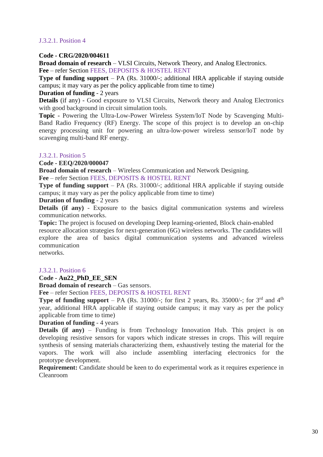#### J.3.2.1. Position 4

#### **Code - CRG/2020/004611**

**Broad domain of research** – VLSI Circuits, Network Theory, and Analog Electronics. **Fee** – refer Section FEES, DEPOSITS & HOSTEL RENT

**Type of funding support** – PA (Rs. 31000/-; additional HRA applicable if staying outside campus; it may vary as per the policy applicable from time to time)

#### **Duration of funding** - 2 years

**Details** (if any) - Good exposure to VLSI Circuits, Network theory and Analog Electronics with good background in circuit simulation tools.

**Topic** - Powering the Ultra-Low-Power Wireless System/IoT Node by Scavenging Multi-Band Radio Frequency (RF) Energy. The scope of this project is to develop an on-chip energy processing unit for powering an ultra-low-power wireless sensor/IoT node by scavenging multi-band RF energy.

#### J.3.2.1. Position 5

#### **Code - EEQ/2020/000047**

**Broad domain of research** – Wireless Communication and Network Designing.

**Fee** – refer Section FEES, DEPOSITS & HOSTEL RENT

**Type of funding support** – PA (Rs. 31000/-; additional HRA applicable if staying outside campus; it may vary as per the policy applicable from time to time)

#### **Duration of funding** - 2 years

**Details (if any)** - Exposure to the basics digital communication systems and wireless communication networks.

**Topic:** The project is focused on developing Deep learning-oriented, Block chain-enabled resource allocation strategies for next-generation (6G) wireless networks. The candidates will explore the area of basics digital communication systems and advanced wireless communication

networks.

#### J.3.2.1. Position 6

#### **Code - Au22\_PhD\_EE\_SEN**

**Broad domain of research** – Gas sensors.

**Fee** – refer Section FEES, DEPOSITS & HOSTEL RENT

**Type of funding support** – PA (Rs. 31000/-; for first 2 years, Rs. 35000/-; for  $3<sup>rd</sup>$  and  $4<sup>th</sup>$ year, additional HRA applicable if staying outside campus; it may vary as per the policy applicable from time to time)

#### **Duration of funding** - 4 years

**Details (if any)** – Funding is from Technology Innovation Hub. This project is on developing resistive sensors for vapors which indicate stresses in crops. This will require synthesis of sensing materials characterizing them, exhaustively testing the material for the vapors. The work will also include assembling interfacing electronics for the prototype development.

**Requirement:** Candidate should be keen to do experimental work as it requires experience in Cleanroom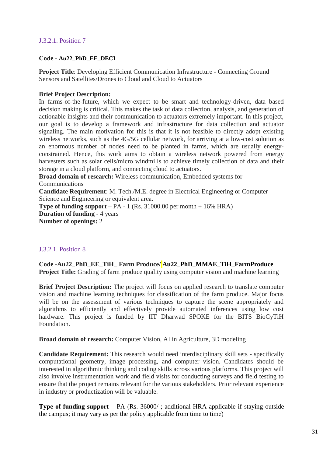#### J.3.2.1. Position 7

#### **Code - Au22\_PhD\_EE\_DECI**

**Project Title**: Developing Efficient Communication Infrastructure - Connecting Ground Sensors and Satellites/Drones to Cloud and Cloud to Actuators

#### **Brief Project Description:**

In farms-of-the-future, which we expect to be smart and technology-driven, data based decision making is critical. This makes the task of data collection, analysis, and generation of actionable insights and their communication to actuators extremely important. In this project, our goal is to develop a framework and infrastructure for data collection and actuator signaling. The main motivation for this is that it is not feasible to directly adopt existing wireless networks, such as the 4G/5G cellular network, for arriving at a low-cost solution as an enormous number of nodes need to be planted in farms, which are usually energyconstrained. Hence, this work aims to obtain a wireless network powered from energy harvesters such as solar cells/micro windmills to achieve timely collection of data and their storage in a cloud platform, and connecting cloud to actuators.

**Broad domain of research:** Wireless communication, Embedded systems for Communications

**Candidate Requirement**: M. Tech./M.E. degree in Electrical Engineering or Computer Science and Engineering or equivalent area.

**Type of funding support** – PA - 1 (Rs. 31000.00 per month + 16% HRA) **Duration of funding** - 4 years **Number of openings:** 2

#### J.3.2.1. Position 8

**Code -Au22\_PhD\_EE\_TiH\_ Farm Produce/ Au22\_PhD\_MMAE\_TiH\_FarmProduce Project Title:** Grading of farm produce quality using computer vision and machine learning

**Brief Project Description:** The project will focus on applied research to translate computer vision and machine learning techniques for classification of the farm produce. Major focus will be on the assessment of various techniques to capture the scene appropriately and algorithms to efficiently and effectively provide automated inferences using low cost hardware. This project is funded by IIT Dharwad SPOKE for the BITS BioCyTiH Foundation.

**Broad domain of research:** Computer Vision, AI in Agriculture, 3D modeling

**Candidate Requirement:** This research would need interdisciplinary skill sets - specifically computational geometry, image processing, and computer vision. Candidates should be interested in algorithmic thinking and coding skills across various platforms. This project will also involve instrumentation work and field visits for conducting surveys and field testing to ensure that the project remains relevant for the various stakeholders. Prior relevant experience in industry or productization will be valuable.

**Type of funding support** – PA (Rs. 36000/-; additional HRA applicable if staying outside the campus; it may vary as per the policy applicable from time to time)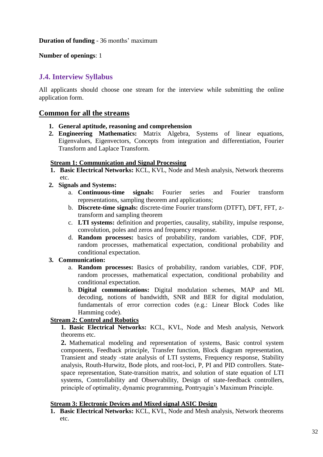**Duration of funding** - 36 months' maximum

**Number of openings**: 1

#### <span id="page-31-0"></span>**J.4. Interview Syllabus**

All applicants should choose one stream for the interview while submitting the online application form.

#### **Common for all the streams**

- **1. General aptitude, reasoning and comprehension**
- **2. Engineering Mathematics:** Matrix Algebra, Systems of linear equations, Eigenvalues, Eigenvectors, Concepts from integration and differentiation, Fourier Transform and Laplace Transform.

#### **Stream 1: Communication and Signal Processing**

- **1. Basic Electrical Networks:** KCL, KVL, Node and Mesh analysis, Network theorems etc.
- **2. Signals and Systems:**
	- a. **Continuous-time signals:** Fourier series and Fourier transform representations, sampling theorem and applications;
	- b. **Discrete-time signals:** discrete-time Fourier transform (DTFT), DFT, FFT, ztransform and sampling theorem
	- c. **LTI systems:** definition and properties, causality, stability, impulse response, convolution, poles and zeros and frequency response.
	- d. **Random processes:** basics of probability, random variables, CDF, PDF, random processes, mathematical expectation, conditional probability and conditional expectation.

#### **3. Communication:**

- a. **Random processes:** Basics of probability, random variables, CDF, PDF, random processes, mathematical expectation, conditional probability and conditional expectation.
- b. **Digital communications:** Digital modulation schemes, MAP and ML decoding, notions of bandwidth, SNR and BER for digital modulation, fundamentals of error correction codes (e.g.: Linear Block Codes like Hamming code).

#### **Stream 2: Control and Robotics**

**1. Basic Electrical Networks:** KCL, KVL, Node and Mesh analysis, Network theorems etc.

**2.** Mathematical modeling and representation of systems, Basic control system components, Feedback principle, Transfer function, Block diagram representation, Transient and steady -state analysis of LTI systems, Frequency response, Stability analysis, Routh-Hurwitz, Bode plots, and root-loci, P, PI and PID controllers. Statespace representation, State-transition matrix, and solution of state equation of LTI systems, Controllability and Observability, Design of state-feedback controllers, principle of optimality, dynamic programming, Pontryagin's Maximum Principle.

#### **Stream 3: Electronic Devices and Mixed signal ASIC Design**

**1. Basic Electrical Networks:** KCL, KVL, Node and Mesh analysis, Network theorems etc.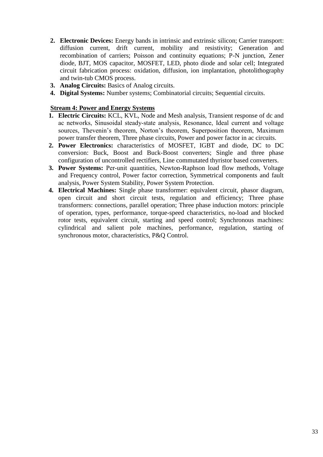- **2. Electronic Devices:** Energy bands in intrinsic and extrinsic silicon; Carrier transport: diffusion current, drift current, mobility and resistivity; Generation and recombination of carriers; Poisson and continuity equations; P-N junction, Zener diode, BJT, MOS capacitor, MOSFET, LED, photo diode and solar cell; Integrated circuit fabrication process: oxidation, diffusion, ion implantation, photolithography and twin-tub CMOS process.
- **3. Analog Circuits:** Basics of Analog circuits.
- **4. Digital Systems:** Number systems; Combinatorial circuits; Sequential circuits.

#### **Stream 4: Power and Energy Systems**

- **1. Electric Circuits:** KCL, KVL, Node and Mesh analysis, Transient response of dc and ac networks, Sinusoidal steady‐state analysis, Resonance, Ideal current and voltage sources, Thevenin's theorem, Norton's theorem, Superposition theorem, Maximum power transfer theorem, Three phase circuits, Power and power factor in ac circuits.
- **2. Power Electronics:** characteristics of MOSFET, IGBT and diode, DC to DC conversion: Buck, Boost and Buck-Boost converters; Single and three phase configuration of uncontrolled rectifiers, Line commutated thyristor based converters.
- **3. Power Systems:** Per‐unit quantities, Newton-Raphson load flow methods, Voltage and Frequency control, Power factor correction, Symmetrical components and fault analysis, Power System Stability, Power System Protection.
- **4. Electrical Machines:** Single phase transformer: equivalent circuit, phasor diagram, open circuit and short circuit tests, regulation and efficiency; Three phase transformers: connections, parallel operation; Three phase induction motors: principle of operation, types, performance, torque-speed characteristics, no-load and blocked rotor tests, equivalent circuit, starting and speed control; Synchronous machines: cylindrical and salient pole machines, performance, regulation, starting of synchronous motor, characteristics, P&Q Control.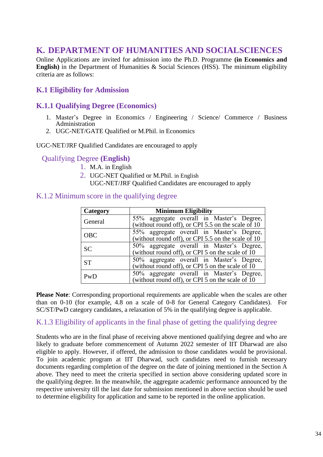## <span id="page-33-0"></span>**K. DEPARTMENT OF HUMANITIES AND SOCIALSCIENCES**

Online Applications are invited for admission into the Ph.D. Programme **(in Economics and English)** in the Department of Humanities & Social Sciences (HSS). The minimum eligibility criteria are as follows:

### <span id="page-33-1"></span>**K.1 Eligibility for Admission**

#### <span id="page-33-2"></span>**K.1.1 Qualifying Degree (Economics)**

- 1. Master's Degree in Economics / Engineering / Science/ Commerce / Business Administration
- 2. UGC-NET/GATE Qualified or M.Phil. in Economics

UGC-NET/JRF Qualified Candidates are encouraged to apply

#### Qualifying Degree **(English)**

- 1. M.A. in English
- 2. UGC-NET Qualified or M.Phil. in English
	- UGC-NET/JRF Qualified Candidates are encouraged to apply

#### <span id="page-33-3"></span>K.1.2 Minimum score in the qualifying degree

| Category   | <b>Minimum Eligibility</b>                                                                      |
|------------|-------------------------------------------------------------------------------------------------|
| General    | 55% aggregate overall in Master's Degree,<br>(without round off), or CPI 5.5 on the scale of 10 |
| <b>OBC</b> | 55% aggregate overall in Master's Degree,<br>(without round off), or CPI 5.5 on the scale of 10 |
| <b>SC</b>  | 50% aggregate overall in Master's Degree,<br>(without round off), or CPI 5 on the scale of 10   |
| <b>ST</b>  | 50% aggregate overall in Master's Degree,<br>(without round off), or CPI 5 on the scale of $10$ |
| PwD        | 50% aggregate overall in Master's Degree,<br>(without round off), or CPI 5 on the scale of $10$ |

**Please Note**: Corresponding proportional requirements are applicable when the scales are other than on 0-10 (for example, 4.8 on a scale of 0-8 for General Category Candidates). For SC/ST/PwD category candidates, a relaxation of 5% in the qualifying degree is applicable.

#### <span id="page-33-4"></span>K.1.3 Eligibility of applicants in the final phase of getting the qualifying degree

Students who are in the final phase of receiving above mentioned qualifying degree and who are likely to graduate before commencement of Autumn 2022 semester of IIT Dharwad are also eligible to apply. However, if offered, the admission to those candidates would be provisional. To join academic program at IIT Dharwad, such candidates need to furnish necessary documents regarding completion of the degree on the date of joining mentioned in the Section A above. They need to meet the criteria specified in section above considering updated score in the qualifying degree. In the meanwhile, the aggregate academic performance announced by the respective university till the last date for submission mentioned in above section should be used to determine eligibility for application and same to be reported in the online application.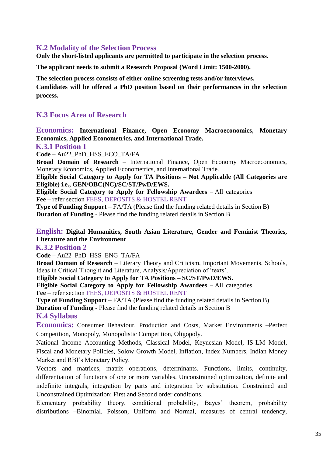#### <span id="page-34-0"></span>**K.2 Modality of the Selection Process**

**Only the short-listed applicants are permitted to participate in the selection process.** 

**The applicant needs to submit a Research Proposal (Word Limit: 1500-2000).**

**The selection process consists of either online screening tests and/or interviews.**

**Candidates will be offered a PhD position based on their performances in the selection process.**

#### <span id="page-34-1"></span>**K.3 Focus Area of Research**

#### **Economics: International Finance, Open Economy Macroeconomics, Monetary Economics, Applied Econometrics, and International Trade.**

<span id="page-34-2"></span> **K.3.1 Position 1**

**Code** – Au22\_PhD\_HSS\_ECO\_TA/FA

**Broad Domain of Research** – International Finance, Open Economy Macroeconomics, Monetary Economics, Applied Econometrics, and International Trade.

**Eligible Social Category to Apply for TA Positions – Not Applicable (All Categories are Eligible) i.e., GEN/OBC(NC)/SC/ST/PwD/EWS.**

**Eligible Social Category to Apply for Fellowship Awardees** – All categories **Fee** – refer section FEES, DEPOSITS & HOSTEL RENT

**Type of Funding Support** – FA/TA (Please find the funding related details in Section B) **Duration of Funding** - Please find the funding related details in Section B

#### **English: Digital Humanities, South Asian Literature, Gender and Feminist Theories, Literature and the Environment**

<span id="page-34-3"></span> **K.3.2 Position 2**

**Code** – Au22\_PhD\_HSS\_ENG\_TA/FA

**Broad Domain of Research** – Literary Theory and Criticism, Important Movements, Schools, Ideas in Critical Thought and Literature, Analysis/Appreciation of 'texts'.

**Eligible Social Category to Apply for TA Positions – SC/ST/PwD/EWS.**

**Eligible Social Category to Apply for Fellowship Awardees** – All categories **Fee** – refer section FEES, DEPOSITS & HOSTEL RENT

**Type of Funding Support** – FA/TA (Please find the funding related details in Section B)

**Duration of Funding** - Please find the funding related details in Section B

#### <span id="page-34-4"></span>**K.4 Syllabus**

**Economics:** Consumer Behaviour, Production and Costs, Market Environments –Perfect Competition, Monopoly, Monopolistic Competition, Oligopoly.

National Income Accounting Methods, Classical Model, Keynesian Model, IS-LM Model, Fiscal and Monetary Policies, Solow Growth Model, Inflation, Index Numbers, Indian Money Market and RBI's Monetary Policy.

Vectors and matrices, matrix operations, determinants. Functions, limits, continuity, differentiation of functions of one or more variables. Unconstrained optimization, definite and indefinite integrals, integration by parts and integration by substitution. Constrained and Unconstrained Optimization: First and Second order conditions.

Elementary probability theory, conditional probability, Bayes' theorem, probability distributions –Binomial, Poisson, Uniform and Normal, measures of central tendency,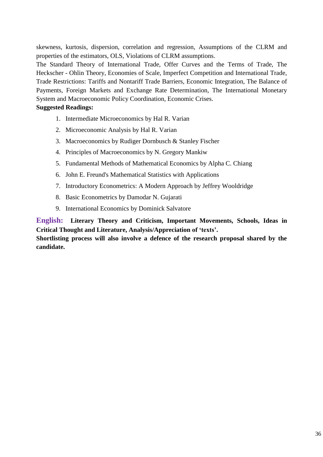skewness, kurtosis, dispersion, correlation and regression, Assumptions of the CLRM and properties of the estimators, OLS, Violations of CLRM assumptions.

The Standard Theory of International Trade, Offer Curves and the Terms of Trade, The Heckscher - Ohlin Theory, Economies of Scale, Imperfect Competition and International Trade, Trade Restrictions: Tariffs and Nontariff Trade Barriers, Economic Integration, The Balance of Payments, Foreign Markets and Exchange Rate Determination, The International Monetary System and Macroeconomic Policy Coordination, Economic Crises.

#### **Suggested Readings:**

- 1. Intermediate Microeconomics by Hal R. Varian
- 2. Microeconomic Analysis by Hal R. Varian
- 3. Macroeconomics by Rudiger Dornbusch & Stanley Fischer
- 4. Principles of Macroeconomics by N. Gregory Mankiw
- 5. Fundamental Methods of Mathematical Economics by Alpha C. Chiang
- 6. John E. Freund's Mathematical Statistics with Applications
- 7. Introductory Econometrics: A Modern Approach by Jeffrey Wooldridge
- 8. Basic Econometrics by Damodar N. Gujarati
- 9. International Economics by Dominick Salvatore

**English: Literary Theory and Criticism, Important Movements, Schools, Ideas in Critical Thought and Literature, Analysis/Appreciation of 'texts'.** 

**Shortlisting process will also involve a defence of the research proposal shared by the candidate.**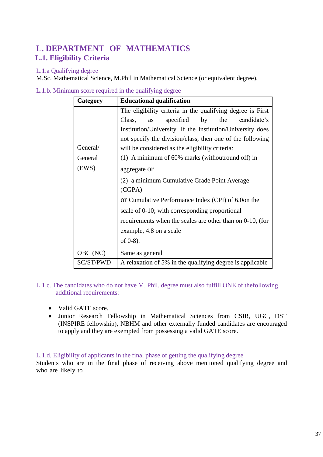## <span id="page-36-1"></span><span id="page-36-0"></span>**L. DEPARTMENT OF MATHEMATICS L.1. Eligibility Criteria**

#### <span id="page-36-2"></span>L.1.a Qualifying degree

M.Sc. Mathematical Science, M.Phil in Mathematical Science (or equivalent degree).

| Category  | <b>Educational qualification</b>                           |
|-----------|------------------------------------------------------------|
|           | The eligibility criteria in the qualifying degree is First |
|           | by<br>the<br>candidate's<br>specified<br>Class,<br>as      |
|           | Institution/University. If the Institution/University does |
|           | not specify the division/class, then one of the following  |
| General/  | will be considered as the eligibility criteria:            |
| General   | (1) A minimum of 60% marks (withoutround off) in           |
| (EWS)     | aggregate or                                               |
|           | (2) a minimum Cumulative Grade Point Average               |
|           | (CGPA)                                                     |
|           | or Cumulative Performance Index (CPI) of 6.0on the         |
|           | scale of 0-10; with corresponding proportional             |
|           | requirements when the scales are other than on 0-10, (for  |
|           | example, 4.8 on a scale                                    |
|           | of $0-8$ ).                                                |
| OBC (NC)  | Same as general                                            |
| SC/ST/PWD | A relaxation of 5% in the qualifying degree is applicable  |

<span id="page-36-3"></span>L.1.b. Minimum score required in the qualifying degree

<span id="page-36-4"></span>L.1.c. The candidates who do not have M. Phil. degree must also fulfill ONE of thefollowing additional requirements:

- Valid GATE score.
- Junior Research Fellowship in Mathematical Sciences from CSIR, UGC, DST (INSPIRE fellowship), NBHM and other externally funded candidates are encouraged to apply and they are exempted from possessing a valid GATE score.

#### <span id="page-36-5"></span>L.1.d. Eligibility of applicants in the final phase of getting the qualifying degree

Students who are in the final phase of receiving above mentioned qualifying degree and who are likely to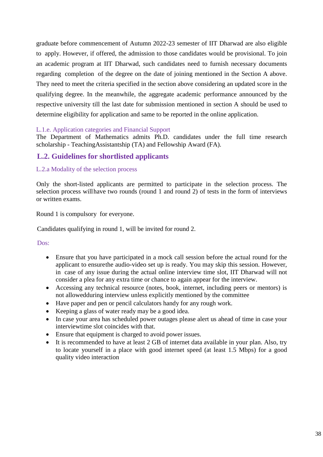graduate before commencement of Autumn 2022-23 semester of IIT Dharwad are also eligible to apply. However, if offered, the admission to those candidates would be provisional. To join an academic program at IIT Dharwad, such candidates need to furnish necessary documents regarding completion of the degree on the date of joining mentioned in the Section A above. They need to meet the criteria specified in the section above considering an updated score in the qualifying degree. In the meanwhile, the aggregate academic performance announced by the respective university till the last date for submission mentioned in section A should be used to determine eligibility for application and same to be reported in the online application.

#### <span id="page-37-0"></span>L.1.e. Application categories and Financial Support

The Department of Mathematics admits Ph.D. candidates under the full time research scholarship - TeachingAssistantship (TA) and Fellowship Award (FA).

#### <span id="page-37-1"></span> **L.2. Guidelines for shortlisted applicants**

#### <span id="page-37-2"></span>L.2.a Modality of the selection process

Only the short-listed applicants are permitted to participate in the selection process. The selection process willhave two rounds (round 1 and round 2) of tests in the form of interviews or written exams.

Round 1 is compulsory for everyone.

Candidates qualifying in round 1, will be invited for round 2.

Dos:

- Ensure that you have participated in a mock call session before the actual round for the applicant to ensurethe audio-video set up is ready. You may skip this session. However, in case of any issue during the actual online interview time slot, IIT Dharwad will not consider a plea for any extra time or chance to again appear for the interview.
- Accessing any technical resource (notes, book, internet, including peers or mentors) is not allowedduring interview unless explicitly mentioned by the committee
- Have paper and pen or pencil calculators handy for any rough work.
- Keeping a glass of water ready may be a good idea.
- In case your area has scheduled power outages please alert us ahead of time in case your interviewtime slot coincides with that.
- Ensure that equipment is charged to avoid power issues.
- It is recommended to have at least 2 GB of internet data available in your plan. Also, try to locate yourself in a place with good internet speed (at least 1.5 Mbps) for a good quality video interaction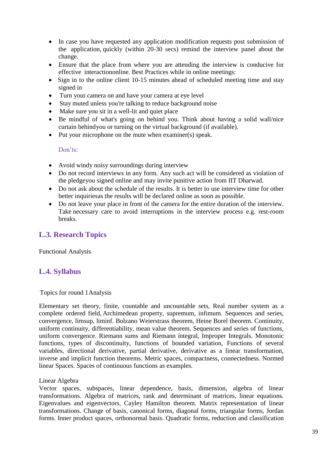- In case you have requested any application modification requests post submission of the application, quickly (within 20-30 secs) remind the interview panel about the change.
- Ensure that the place from where you are attending the interview is conducive for effective interactiononline. Best Practices while in online meetings:
- Sign in to the online client 10-15 minutes ahead of scheduled meeting time and stay signed in
- Turn your camera on and have your camera at eye level
- Stay muted unless you're talking to reduce background noise
- Make sure you sit in a well-lit and quiet place
- Be mindful of what's going on behind you. Think about having a solid wall/nice curtain behindyou or turning on the virtual background (if available).
- Put your microphone on the mute when examiner(s) speak.

Don'ts:

- Avoid windy noisy surroundings during interview
- Do not record interviews in any form. Any such act will be considered as violation of the pledgeyou signed online and may invite punitive action from IIT Dharwad.
- Do not ask about the schedule of the results. It is better to use interview time for other better inquiriesas the results will be declared online as soon as possible.
- Do not leave your place in front of the camera for the entire duration of the interview. Take necessary care to avoid interruptions in the interview process e.g. rest-room breaks.

#### <span id="page-38-0"></span>**L.3. Research Topics**

Functional Analysis

#### <span id="page-38-1"></span>**L.4. Syllabus**

#### Topics for round 1 Analysis

Elementary set theory, finite, countable and uncountable sets, Real number system as a complete ordered field, Archimedean property, supremum, infimum. Sequences and series, convergence, limsup, liminf. Bolzano Weierstrass theorem, Heine Borel theorem. Continuity, uniform continuity, differentiability, mean value theorem. Sequences and series of functions, uniform convergence. Riemann sums and Riemann integral, Improper Integrals. Monotonic functions, types of discontinuity, functions of bounded variation, Functions of several variables, directional derivative, partial derivative, derivative as a linear transformation, inverse and implicit function theorems. Metric spaces, compactness, connectedness. Normed linear Spaces. Spaces of continuous functions as examples.

#### Linear Algebra

Vector spaces, subspaces, linear dependence, basis, dimension, algebra of linear transformations. Algebra of matrices, rank and determinant of matrices, linear equations. Eigenvalues and eigenvectors, Cayley Hamilton theorem. Matrix representation of linear transformations. Change of basis, canonical forms, diagonal forms, triangular forms, Jordan forms. Inner product spaces, orthonormal basis. Quadratic forms, reduction and classification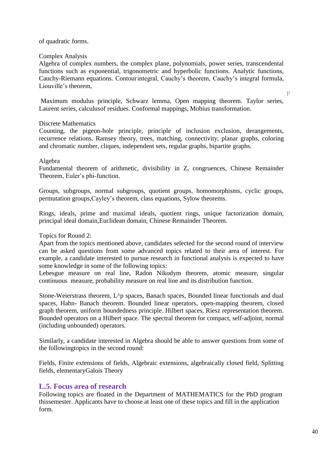#### of quadratic forms.

#### Complex Analysis

Algebra of complex numbers, the complex plane, polynomials, power series, transcendental functions such as exponential, trigonometric and hyperbolic functions. Analytic functions, Cauchy-Riemann equations. Contourintegral, Cauchy's theorem, Cauchy's integral formula, Liouville's theorem,

Maximum modulus principle, Schwarz lemma, Open mapping theorem. Taylor series, Laurent series, calculusof residues. Conformal mappings, Mobius transformation.

#### Discrete Mathematics

Counting, the pigeon-hole principle, principle of inclusion exclusion, derangements, recurrence relations, Ramsey theory, trees, matching, connectivity, planar graphs, coloring and chromatic number, cliques, independent sets, regular graphs, bipartite graphs.

#### Algebra

Fundamental theorem of arithmetic, divisibility in Z, congruences, Chinese Remainder Theorem, Euler's phi-function.

Groups, subgroups, normal subgroups, quotient groups, homomorphisms, cyclic groups, permutation groups,Cayley's theorem, class equations, Sylow theorems.

Rings, ideals, prime and maximal ideals, quotient rings, unique factorization domain, principal ideal domain,Euclidean domain, Chinese Remainder Theorem.

#### Topics for Round 2:

Apart from the topics mentioned above, candidates selected for the second round of interview can be asked questions from some advanced topics related to their area of interest. For example, a candidate interested to pursue research in functional analysis is expected to have some knowledge in some of the following topics:

Lebesgue measure on real line, Radon Nikodym theorem, atomic measure, singular continuous measure, probability measure on real line and its distribution function.

Stone-Weierstrass theorem, L^p spaces, Banach spaces, Bounded linear functionals and dual spaces, Hahn- Banach theorem. Bounded linear operators, open-mapping theorem, closed graph theorem, uniform boundedness principle. Hilbert spaces, Riesz representation theorem. Bounded operators on a Hilbert space. The spectral theorem for compact, self-adjoint, normal (including unbounded) operators.

Similarly, a candidate interested in Algebra should be able to answer questions from some of the followingtopics in the second round:

Fields, Finite extensions of fields, Algebraic extensions, algebraically closed field, Splitting fields, elementaryGalois Theory

#### <span id="page-39-0"></span>**L.5. Focus area of research**

Following topics are floated in the Department of MATHEMATICS for the PhD program thissemester. Applicants have to choose at least one of these topics and fill in the application form.

P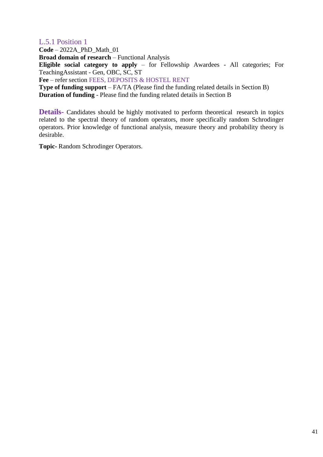#### <span id="page-40-0"></span>L.5.1 Position 1

**Code** – 2022A\_PhD\_Math\_01

**Broad domain of research** – Functional Analysis

**Eligible social category to apply** – for Fellowship Awardees - All categories; For TeachingAssistant - Gen, OBC, SC, ST

**Fee** – refer section FEES, DEPOSITS & HOSTEL RENT

**Type of funding support** – FA/TA (Please find the funding related details in Section B) **Duration of funding** - Please find the funding related details in Section B

**Details-** Candidates should be highly motivated to perform theoretical research in topics related to the spectral theory of random operators, more specifically random Schrodinger operators. Prior knowledge of functional analysis, measure theory and probability theory is desirable.

**Topic-** Random Schrodinger Operators.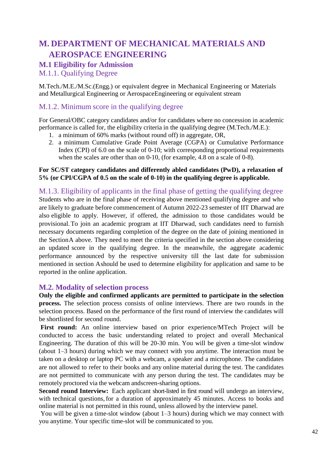## <span id="page-41-0"></span>**M. DEPARTMENT OF MECHANICAL MATERIALS AND AEROSPACE ENGINEERING**

#### <span id="page-41-1"></span>**M.1 Eligibility for Admission**

<span id="page-41-2"></span>M.1.1. Qualifying Degree

M.Tech./M.E./M.Sc.(Engg.) or equivalent degree in Mechanical Engineering or Materials and Metallurgical Engineering or AerospaceEngineering or equivalent stream

#### <span id="page-41-3"></span>M.1.2. Minimum score in the qualifying degree

For General/OBC category candidates and/or for candidates where no concession in academic performance is called for, the eligibility criteria in the qualifying degree (M.Tech./M.E.):

- 1. a minimum of 60% marks (without round off) in aggregate, OR,
- 2. a minimum Cumulative Grade Point Average (CGPA) or Cumulative Performance Index (CPI) of 6.0 on the scale of 0-10; with corresponding proportional requirements when the scales are other than on 0-10, (for example, 4.8 on a scale of 0-8).

#### **For SC/ST category candidates and differently abled candidates (PwD), a relaxation of 5% (or CPI/CGPA of 0.5 on the scale of 0-10) in the qualifying degree is applicable.**

<span id="page-41-4"></span>M.1.3. Eligibility of applicants in the final phase of getting the qualifying degree Students who are in the final phase of receiving above mentioned qualifying degree and who are likely to graduate before commencement of Autumn 2022-23 semester of IIT Dharwad are also eligible to apply. However, if offered, the admission to those candidates would be provisional.To join an academic program at IIT Dharwad, such candidates need to furnish necessary documents regarding completion of the degree on the date of joining mentioned in the SectionA above. They need to meet the criteria specified in the section above considering an updated score in the qualifying degree. In the meanwhile, the aggregate academic performance announced by the respective university till the last date for submission mentioned in section Ashould be used to determine eligibility for application and same to be reported in the online application.

#### <span id="page-41-5"></span>**M.2. Modality of selection process**

**Only the eligible and confirmed applicants are permitted to participate in the selection process.** The selection process consists of online interviews. There are two rounds in the selection process. Based on the performance of the first round of interview the candidates will be shortlisted for second round.

**First round:** An online interview based on prior experience/MTech Project will be conducted to access the basic understanding related to project and overall Mechanical Engineering. The duration of this will be 20-30 min. You will be given a time-slot window (about 1–3 hours) during which we may connect with you anytime. The interaction must be taken on a desktop or laptop PC with a webcam, a speaker and a microphone. The candidates are not allowed to refer to their books and any online material during the test. The candidates are not permitted to communicate with any person during the test. The candidates may be remotely proctored via the webcam andscreen-sharing options.

**Second round Interview:** Each applicant short-listed in first round will undergo an interview, with technical questions, for a duration of approximately 45 minutes. Access to books and online material is not permitted in this round, unless allowed by the interview panel.

You will be given a time-slot window (about 1–3 hours) during which we may connect with you anytime. Your specific time-slot will be communicated to you.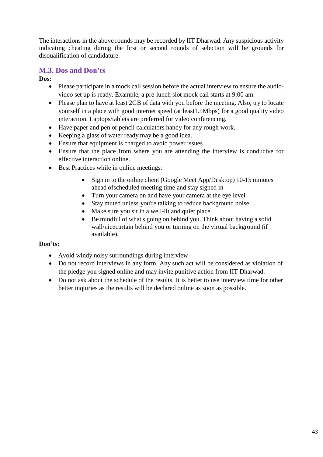The interactions in the above rounds may be recorded by IIT Dharwad. Any suspicious activity indicating cheating during the first or second rounds of selection will be grounds for disqualification of candidature.

#### <span id="page-42-0"></span>**M.3. Dos and Don'ts**

**Dos:**

- Please participate in a mock call session before the actual interview to ensure the audiovideo set up is ready. Example, a pre-lunch slot mock call starts at 9:00 am.
- Please plan to have at least 2GB of data with you before the meeting. Also, try to locate yourself in a place with good internet speed (at least1.5Mbps) for a good quality video interaction. Laptops/tablets are preferred for video conferencing.
- Have paper and pen or pencil calculators handy for any rough work.
- Keeping a glass of water ready may be a good idea.
- Ensure that equipment is charged to avoid power issues.
- Ensure that the place from where you are attending the interview is conducive for effective interaction online.
- Best Practices while in online meetings:
	- Sign in to the online client (Google Meet App/Desktop) 10-15 minutes ahead ofscheduled meeting time and stay signed in
	- Turn your camera on and have your camera at the eye level
	- Stay muted unless you're talking to reduce background noise
	- Make sure you sit in a well-lit and quiet place
	- Be mindful of what's going on behind you. Think about having a solid wall/nicecurtain behind you or turning on the virtual background (if available).

#### **Don'ts:**

- Avoid windy noisy surroundings during interview
- Do not record interviews in any form. Any such act will be considered as violation of the pledge you signed online and may invite punitive action from IIT Dharwad.
- Do not ask about the schedule of the results. It is better to use interview time for other better inquiries as the results will be declared online as soon as possible.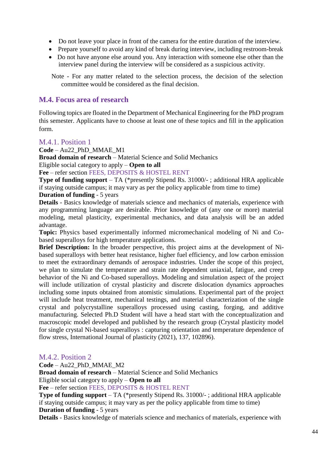- Do not leave your place in front of the camera for the entire duration of the interview.
- Prepare yourself to avoid any kind of break during interview, including restroom-break
- Do not have anyone else around you. Any interaction with someone else other than the interview panel during the interview will be considered as a suspicious activity.

Note - For any matter related to the selection process, the decision of the selection committee would be considered as the final decision.

#### <span id="page-43-0"></span>**M.4. Focus area of research**

Following topics are floated in the Department of Mechanical Engineering for the PhD program this semester. Applicants have to choose at least one of these topics and fill in the application form.

#### <span id="page-43-1"></span>M.4.1. Position 1

**Code** – Au22\_PhD\_MMAE\_M1

**Broad domain of research** – Material Science and Solid Mechanics

Eligible social category to apply – **Open to all**

**Fee** – refer section FEES, DEPOSITS & HOSTEL RENT

**Type of funding support** – TA (\*presently Stipend Rs. 31000/- ; additional HRA applicable if staying outside campus; it may vary as per the policy applicable from time to time) **Duration of funding** - 5 years

**Details** - Basics knowledge of materials science and mechanics of materials, experience with any programming language are desirable. Prior knowledge of (any one or more) material modeling, metal plasticity, experimental mechanics, and data analysis will be an added advantage.

**Topic:** Physics based experimentally informed micromechanical modeling of Ni and Cobased superalloys for high temperature applications.

**Brief Description:** In the broader perspective, this project aims at the development of Nibased superalloys with better heat resistance, higher fuel efficiency, and low carbon emission to meet the extraordinary demands of aerospace industries. Under the scope of this project, we plan to simulate the temperature and strain rate dependent uniaxial, fatigue, and creep behavior of the Ni and Co-based superalloys. Modeling and simulation aspect of the project will include utilization of crystal plasticity and discrete dislocation dynamics approaches including some inputs obtained from atomistic simulations. Experimental part of the project will include heat treatment, mechanical testings, and material characterization of the single crystal and polycrystalline superalloys processed using casting, forging, and additive manufacturing. Selected Ph.D Student will have a head start with the conceptualization and macroscopic model developed and published by the research group (Crystal plasticity model for single crystal Ni-based superalloys : capturing orientation and temperature dependence of flow stress, International Journal of plasticity (2021), 137, 102896).

#### <span id="page-43-2"></span>M.4.2. Position 2

**Code** – Au22\_PhD\_MMAE\_M2

**Broad domain of research** – Material Science and Solid Mechanics

Eligible social category to apply – **Open to all**

**Fee** – refer section FEES, DEPOSITS & HOSTEL RENT

**Type of funding support** – TA (\*presently Stipend Rs. 31000/- ; additional HRA applicable if staying outside campus; it may vary as per the policy applicable from time to time) **Duration of funding** - 5 years

**Details** - Basics knowledge of materials science and mechanics of materials, experience with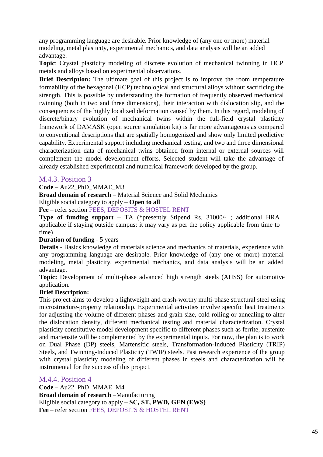any programming language are desirable. Prior knowledge of (any one or more) material modeling, metal plasticity, experimental mechanics, and data analysis will be an added advantage.

**Topic**: Crystal plasticity modeling of discrete evolution of mechanical twinning in HCP metals and alloys based on experimental observations.

**Brief Description:** The ultimate goal of this project is to improve the room temperature formability of the hexagonal (HCP) technological and structural alloys without sacrificing the strength. This is possible by understanding the formation of frequently observed mechanical twinning (both in two and three dimensions), their interaction with dislocation slip, and the consequences of the highly localized deformation caused by them. In this regard, modeling of discrete/binary evolution of mechanical twins within the full-field crystal plasticity framework of DAMASK (open source simulation kit) is far more advantageous as compared to conventional descriptions that are spatially homogenized and show only limited predictive capability. Experimental support including mechanical testing, and two and three dimensional characterization data of mechanical twins obtained from internal or external sources will complement the model development efforts. Selected student will take the advantage of already established experimental and numerical framework developed by the group.

#### <span id="page-44-0"></span>M.4.3. Position 3

**Code** – Au22\_PhD\_MMAE\_M3

**Broad domain of research** – Material Science and Solid Mechanics

Eligible social category to apply – **Open to all**

**Fee** – refer section FEES, DEPOSITS & HOSTEL RENT

**Type of funding support** – TA (\*presently Stipend Rs. 31000/- ; additional HRA applicable if staying outside campus; it may vary as per the policy applicable from time to time)

#### **Duration of funding** - 5 years

**Details** - Basics knowledge of materials science and mechanics of materials, experience with any programming language are desirable. Prior knowledge of (any one or more) material modeling, metal plasticity, experimental mechanics, and data analysis will be an added advantage.

**Topic:** Development of multi-phase advanced high strength steels (AHSS) for automotive application.

#### **Brief Description:**

This project aims to develop a lightweight and crash-worthy multi-phase structural steel using microstructure-property relationship. Experimental activities involve specific heat treatments for adjusting the volume of different phases and grain size, cold rolling or annealing to alter the dislocation density, different mechanical testing and material characterization. Crystal plasticity constitutive model development specific to different phases such as ferrite, austenite and martensite will be complemented by the experimental inputs. For now, the plan is to work on Dual Phase (DP) steels, Martensitic steels, Transformation-Induced Plasticity (TRIP) Steels, and Twinning-Induced Plasticity (TWIP) steels. Past research experience of the group with crystal plasticity modeling of different phases in steels and characterization will be instrumental for the success of this project.

#### <span id="page-44-1"></span>M.4.4. Position 4

**Code** – Au22\_PhD\_MMAE\_M4 **Broad domain of research** –Manufacturing Eligible social category to apply – **SC, ST, PWD, GEN (EWS) Fee** – refer section FEES, DEPOSITS & HOSTEL RENT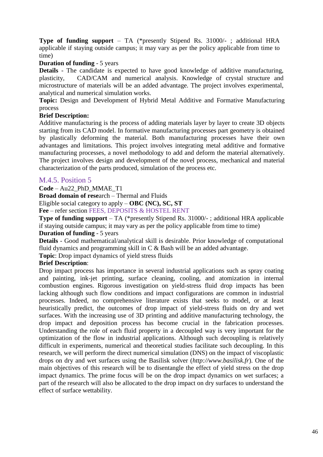**Type of funding support** – TA (\*presently Stipend Rs. 31000/- ; additional HRA applicable if staying outside campus; it may vary as per the policy applicable from time to time)

#### **Duration of funding** - 5 years

**Details** - The candidate is expected to have good knowledge of additive manufacturing, plasticity, CAD/CAM and numerical analysis. Knowledge of crystal structure and microstructure of materials will be an added advantage. The project involves experimental, analytical and numerical simulation works.

**Topic:** Design and Development of Hybrid Metal Additive and Formative Manufacturing process

#### **Brief Description:**

Additive manufacturing is the process of adding materials layer by layer to create 3D objects starting from its CAD model. In formative manufacturing processes part geometry is obtained by plastically deforming the material. Both manufacturing processes have their own advantages and limitations. This project involves integrating metal additive and formative manufacturing processes, a novel methodology to add and deform the material alternatively. The project involves design and development of the novel process, mechanical and material characterization of the parts produced, simulation of the process etc.

#### <span id="page-45-0"></span>M.4.5. Position 5

**Code** – Au22\_PhD\_MMAE\_T1

**Broad domain of rese**arch – Thermal and Fluids

Eligible social category to apply – **OBC (NC), SC, ST**

**Fee** – refer section FEES, DEPOSITS & HOSTEL RENT

**Type of funding support** – TA (\*presently Stipend Rs. 31000/- ; additional HRA applicable if staying outside campus; it may vary as per the policy applicable from time to time)

#### **Duration of funding** - 5 years

**Details** - Good mathematical/analytical skill is desirable. Prior knowledge of computational fluid dynamics and programming skill in C & Bash will be an added advantage.

**Topic**: Drop impact dynamics of yield stress fluids

#### **Brief Description**:

Drop impact process has importance in several industrial applications such as spray coating and painting, ink-jet printing, surface cleaning, cooling, and atomization in internal combustion engines. Rigorous investigation on yield-stress fluid drop impacts has been lacking although such flow conditions and impact configurations are common in industrial processes. Indeed, no comprehensive literature exists that seeks to model, or at least heuristically predict, the outcomes of drop impact of yield-stress fluids on dry and wet surfaces. With the increasing use of 3D printing and additive manufacturing technology, the drop impact and deposition process has become crucial in the fabrication processes. Understanding the role of each fluid property in a decoupled way is very important for the optimization of the flow in industrial applications. Although such decoupling is relatively difficult in experiments, numerical and theoretical studies facilitate such decoupling. In this research, we will perform the direct numerical simulation (DNS) on the impact of viscoplastic drops on dry and wet surfaces using the Basilisk solver (*http://www.basilisk.fr*). One of the main objectives of this research will be to disentangle the effect of yield stress on the drop impact dynamics. The prime focus will be on the drop impact dynamics on wet surfaces; a part of the research will also be allocated to the drop impact on dry surfaces to understand the effect of surface wettability.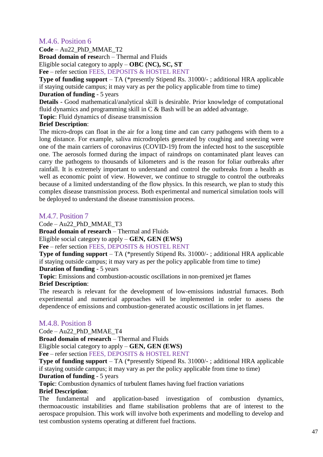#### <span id="page-46-0"></span>M.4.6. Position 6

**Code** – Au22\_PhD\_MMAE\_T2

**Broad domain of rese**arch – Thermal and Fluids

Eligible social category to apply – **OBC (NC), SC, ST**

**Fee** – refer section FEES, DEPOSITS & HOSTEL RENT

**Type of funding support** – TA (\*presently Stipend Rs. 31000/- ; additional HRA applicable if staying outside campus; it may vary as per the policy applicable from time to time)

#### **Duration of funding** - 5 years

**Details** - Good mathematical/analytical skill is desirable. Prior knowledge of computational fluid dynamics and programming skill in C & Bash will be an added advantage.

**Topic**: Fluid dynamics of disease transmission

#### **Brief Description**:

The micro-drops can float in the air for a long time and can carry pathogens with them to a long distance. For example, saliva microdroplets generated by coughing and sneezing were one of the main carriers of coronavirus (COVID-19) from the infected host to the susceptible one. The aerosols formed during the impact of raindrops on contaminated plant leaves can carry the pathogens to thousands of kilometers and is the reason for foliar outbreaks after rainfall. It is extremely important to understand and control the outbreaks from a health as well as economic point of view. However, we continue to struggle to control the outbreaks because of a limited understanding of the flow physics. In this research, we plan to study this complex disease transmission process. Both experimental and numerical simulation tools will be deployed to understand the disease transmission process.

#### <span id="page-46-1"></span>M.4.7. Position 7

Code – Au22\_PhD\_MMAE\_T3

**Broad domain of research** – Thermal and Fluids

Eligible social category to apply – **GEN, GEN (EWS)**

**Fee** – refer section FEES, DEPOSITS & HOSTEL RENT

**Type of funding support** – TA (\*presently Stipend Rs. 31000/- ; additional HRA applicable if staying outside campus; it may vary as per the policy applicable from time to time)

#### **Duration of funding** - 5 years

**Topic**: Emissions and combustion-acoustic oscillations in non-premixed jet flames

#### **Brief Description**:

The research is relevant for the development of low-emissions industrial furnaces. Both experimental and numerical approaches will be implemented in order to assess the dependence of emissions and combustion-generated acoustic oscillations in jet flames.

#### <span id="page-46-2"></span>M.4.8. Position 8

Code – Au22\_PhD\_MMAE\_T4

**Broad domain of research** – Thermal and Fluids

Eligible social category to apply – **GEN, GEN (EWS)**

**Fee** – refer section FEES, DEPOSITS & HOSTEL RENT

**Type of funding support** – TA (\*presently Stipend Rs. 31000/- ; additional HRA applicable if staying outside campus; it may vary as per the policy applicable from time to time)

#### **Duration of funding** - 5 years

**Topic**: Combustion dynamics of turbulent flames having fuel fraction variations

#### **Brief Description**:

The fundamental and application-based investigation of combustion dynamics, thermoacoustic instabilities and flame stabilisation problems that are of interest to the aerospace propulsion. This work will involve both experiments and modelling to develop and test combustion systems operating at different fuel fractions.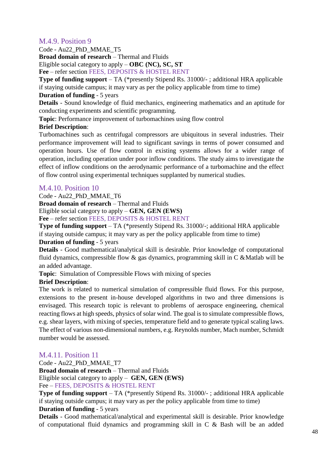#### <span id="page-47-0"></span>M.4.9. Position 9

Code - Au22\_PhD\_MMAE\_T5

**Broad domain of research** – Thermal and Fluids

Eligible social category to apply – **OBC (NC), SC, ST**

**Fee** – refer section FEES, DEPOSITS & HOSTEL RENT

**Type of funding support** – TA (\*presently Stipend Rs. 31000/- ; additional HRA applicable if staying outside campus; it may vary as per the policy applicable from time to time)

#### **Duration of funding** - 5 years

**Details** - Sound knowledge of fluid mechanics, engineering mathematics and an aptitude for conducting experiments and scientific programming.

**Topic**: Performance improvement of turbomachines using flow control

#### **Brief Description**:

Turbomachines such as centrifugal compressors are ubiquitous in several industries. Their performance improvement will lead to significant savings in terms of power consumed and operation hours. Use of flow control in existing systems allows for a wider range of operation, including operation under poor inflow conditions. The study aims to investigate the effect of inflow conditions on the aerodynamic performance of a turbomachine and the effect of flow control using experimental techniques supplanted by numerical studies.

#### <span id="page-47-1"></span>M.4.10. Position 10

Code - Au22\_PhD\_MMAE\_T6

**Broad domain of research** – Thermal and Fluids

Eligible social category to apply – **GEN, GEN (EWS)**

**Fee** – refer section FEES, DEPOSITS & HOSTEL RENT

**Type of funding support** – TA (\*presently Stipend Rs. 31000/-; additional HRA applicable if staying outside campus; it may vary as per the policy applicable from time to time)

#### **Duration of funding** - 5 years

**Details** - Good mathematical/analytical skill is desirable. Prior knowledge of computational fluid dynamics, compressible flow  $\&$  gas dynamics, programming skill in C  $\&$  Matlab will be an added advantage.

**Topic**: Simulation of Compressible Flows with mixing of species

#### **Brief Description**:

The work is related to numerical simulation of compressible fluid flows. For this purpose, extensions to the present in-house developed algorithms in two and three dimensions is envisaged. This research topic is relevant to problems of aerospace engineering, chemical reacting flows at high speeds, physics of solar wind. The goal is to simulate compressible flows, e.g. shear layers, with mixing of species, temperature field and to generate typical scaling laws. The effect of various non-dimensional numbers, e.g. Reynolds number, Mach number, Schmidt number would be assessed.

#### <span id="page-47-2"></span>M.4.11. Position 11

Code - Au22\_PhD\_MMAE\_T7 **Broad domain of research** – Thermal and Fluids Eligible social category to apply – **GEN, GEN (EWS)**

Fee – FEES, DEPOSITS & HOSTEL RENT

**Type of funding support** – TA (\*presently Stipend Rs. 31000/- ; additional HRA applicable if staying outside campus; it may vary as per the policy applicable from time to time) **Duration of funding** - 5 years

**Details** - Good mathematical/analytical and experimental skill is desirable. Prior knowledge of computational fluid dynamics and programming skill in C & Bash will be an added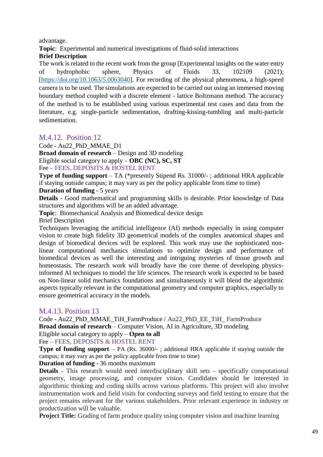advantage.

**Topic**: Experimental and numerical investigations of fluid-solid interactions

#### **Brief Description**

The work is related to the recent work from the group [Experimental insights on the water entry of hydrophobic sphere, Physics of Fluids 33, 102109 (2021); [\[https://doi.org/10.1063/5.0063040\]](https://doi.org/10.1063/5.0063040). For recording of the physical phenomena, a high-speed camera is to be used. The simulations are expected to be carried out using an immersed moving boundary method coupled with a discrete element - lattice Boltzmann method. The accuracy of the method is to be established using various experimental test cases and data from the literature, e.g. single-particle sedimentation, drafting-kissing-tumbling and multi-particle sedimentation.

#### <span id="page-48-0"></span>M.4.12. Position 12

Code - Au22\_PhD\_MMAE\_D1

**Broad domain of research** – Design and 3D modeling Eligible social category to apply – **OBC (NC), SC, ST** Fee – FEES, DEPOSITS & HOSTEL RENT

**Type of funding support** – TA (\*presently Stipend Rs. 31000/- ; additional HRA applicable if staying outside campus; it may vary as per the policy applicable from time to time) **Duration of funding** - 5 years

**Details** - Good mathematical and programming skills is desirable. Prior knowledge of Data structures and algorithms will be an added advantage.

**Topic**: Biomechanical Analysis and Biomedical device design

Brief Description

Techniques leveraging the artificial intelligence (AI) methods especially in using computer vision to create high fidelity 3D geometrical models of the complex anatomical shapes and design of biomedical devices will be explored. This work may use the sophisticated nonlinear computational mechanics simulations to optimize design and performance of biomedical devices as well the interesting and intriguing mysteries of tissue growth and homeostasis. The research work will broadly have the core theme of developing physicsinformed AI techniques to model the life sciences. The research work is expected to be based on Non-linear solid mechanics foundations and simultaneously it will blend the algorithmic aspects typically relevant in the computational geometry and computer graphics, especially to ensure geometrical accuracy in the models.

#### <span id="page-48-1"></span>M.4.13. Position 13

Code - Au22\_PhD\_MMAE\_TiH\_FarmProduce / Au22\_PhD\_EE\_TiH\_ FarmProduce **Broad domain of research** – Computer Vision, AI in Agriculture, 3D modeling Eligible social category to apply – **Open to all**

Fee – FEES, DEPOSITS & HOSTEL RENT

**Type of funding support** – PA (Rs. 36000/-; additional HRA applicable if staying outside the campus; it may vary as per the policy applicable from time to time)

#### **Duration of funding** - 36 months maximum

**Details -** This research would need interdisciplinary skill sets - specifically computational geometry, image processing, and computer vision. Candidates should be interested in algorithmic thinking and coding skills across various platforms. This project will also involve instrumentation work and field visits for conducting surveys and field testing to ensure that the project remains relevant for the various stakeholders. Prior relevant experience in industry or productization will be valuable.

Project Title: Grading of farm produce quality using computer vision and machine learning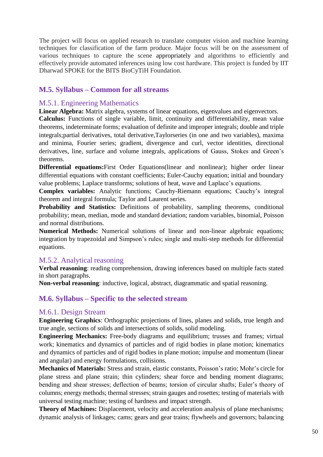The project will focus on applied research to translate computer vision and machine learning techniques for classification of the farm produce. Major focus will be on the assessment of various techniques to capture the scene appropriately and algorithms to efficiently and effectively provide automated inferences using low cost hardware. This project is funded by IIT Dharwad SPOKE for the BITS BioCyTiH Foundation.

#### <span id="page-49-0"></span>**M.5. Syllabus – Common for all streams**

#### <span id="page-49-1"></span>M.5.1. Engineering Mathematics

**Linear Algebra:** Matrix algebra, systems of linear equations, eigenvalues and eigenvectors. **Calculus:** Functions of single variable, limit, continuity and differentiability, mean value theorems, indeterminate forms; evaluation of definite and improper integrals; double and triple integrals;partial derivatives, total derivative,Taylorseries (in one and two variables), maxima and minima, Fourier series; gradient, divergence and curl, vector identities, directional derivatives, line, surface and volume integrals, applications of Gauss, Stokes and Green's theorems.

**Differential equations:**First Order Equations(linear and nonlinear); higher order linear differential equations with constant coefficients; Euler-Cauchy equation; initial and boundary value problems; Laplace transforms; solutions of heat, wave and Laplace's equations.

**Complex variables:** Analytic functions; Cauchy-Riemann equations; Cauchy's integral theorem and integral formula; Taylor and Laurent series.

**Probability and Statistics:** Definitions of probability, sampling theorems, conditional probability; mean, median, mode and standard deviation; random variables, binomial, Poisson and normal distributions.

**Numerical Methods:** Numerical solutions of linear and non-linear algebraic equations; integration by trapezoidal and Simpson's rules; single and multi-step methods for differential equations.

#### <span id="page-49-2"></span>M.5.2. Analytical reasoning

**Verbal reasoning**: reading comprehension, drawing inferences based on multiple facts stated in short paragraphs.

**Non-verbal reasoning**: inductive, logical, abstract, diagrammatic and spatial reasoning.

#### <span id="page-49-3"></span>**M.6. Syllabus – Specific to the selected stream**

#### <span id="page-49-4"></span>M.6.1. Design Stream

**Engineering Graphics**: Orthographic projections of lines, planes and solids, true length and true angle, sections of solids and intersections of solids, solid modeling.

**Engineering Mechanics:** Free-body diagrams and equilibrium; trusses and frames; virtual work; kinematics and dynamics of particles and of rigid bodies in plane motion; kinematics and dynamics of particles and of rigid bodies in plane motion; impulse and momentum (linear and angular) and energy formulations, collisions.

**Mechanics of Materials:** Stress and strain, elastic constants, Poisson's ratio; Mohr's circle for plane stress and plane strain; thin cylinders; shear force and bending moment diagrams; bending and shear stresses; deflection of beams; torsion of circular shafts; Euler's theory of columns; energy methods; thermal stresses; strain gauges and rosettes; testing of materials with universal testing machine; testing of hardness and impact strength.

**Theory of Machines:** Displacement, velocity and acceleration analysis of plane mechanisms; dynamic analysis of linkages; cams; gears and gear trains; flywheels and governors; balancing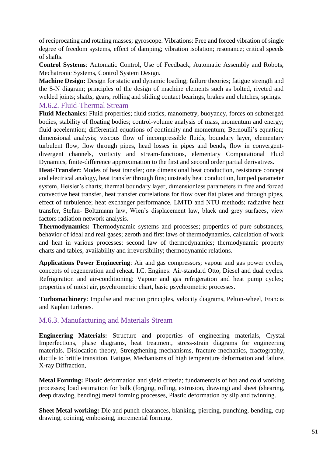of reciprocating and rotating masses; gyroscope. Vibrations: Free and forced vibration of single degree of freedom systems, effect of damping; vibration isolation; resonance; critical speeds of shafts.

**Control Systems**: Automatic Control, Use of Feedback, Automatic Assembly and Robots, Mechatronic Systems, Control System Design.

**Machine Design:** Design for static and dynamic loading; failure theories; fatigue strength and the S-N diagram; principles of the design of machine elements such as bolted, riveted and welded joints; shafts, gears, rolling and sliding contact bearings, brakes and clutches, springs. M.6.2. Fluid-Thermal Stream

## <span id="page-50-0"></span>**Fluid Mechanics:** Fluid properties; fluid statics, manometry, buoyancy, forces on submerged

bodies, stability of floating bodies; control-volume analysis of mass, momentum and energy; fluid acceleration; differential equations of continuity and momentum; Bernoulli's equation; dimensional analysis; viscous flow of incompressible fluids, boundary layer, elementary turbulent flow, flow through pipes, head losses in pipes and bends, flow in convergentdivergent channels, vorticity and stream-functions, elementary Computational Fluid Dynamics, finite-difference approximation to the first and second order partial derivatives.

**Heat-Transfer:** Modes of heat transfer; one dimensional heat conduction, resistance concept and electrical analogy, heat transfer through fins; unsteady heat conduction, lumped parameter system, Heisler's charts; thermal boundary layer, dimensionless parameters in free and forced convective heat transfer, heat transfer correlations for flow over flat plates and through pipes, effect of turbulence; heat exchanger performance, LMTD and NTU methods; radiative heat transfer, Stefan- Boltzmann law, Wien's displacement law, black and grey surfaces, view factors radiation network analysis.

**Thermodynamics:** Thermodynamic systems and processes; properties of pure substances, behavior of ideal and real gases; zeroth and first laws of thermodynamics, calculation of work and heat in various processes; second law of thermodynamics; thermodynamic property charts and tables, availability and irreversibility; thermodynamic relations.

**Applications Power Engineering**: Air and gas compressors; vapour and gas power cycles, concepts of regeneration and reheat. I.C. Engines: Air-standard Otto, Diesel and dual cycles. Refrigeration and air-conditioning: Vapour and gas refrigeration and heat pump cycles; properties of moist air, psychrometric chart, basic psychrometric processes.

**Turbomachinery**: Impulse and reaction principles, velocity diagrams, Pelton-wheel, Francis and Kaplan turbines.

#### <span id="page-50-1"></span>M.6.3. Manufacturing and Materials Stream

**Engineering Materials:** Structure and properties of engineering materials, Crystal Imperfections, phase diagrams, heat treatment, stress-strain diagrams for engineering materials. Dislocation theory, Strengthening mechanisms, fracture mechanics, fractography, ductile to brittle transition. Fatigue, Mechanisms of high temperature deformation and failure, X-ray Diffraction,

**Metal Forming:** Plastic deformation and yield criteria; fundamentals of hot and cold working processes; load estimation for bulk (forging, rolling, extrusion, drawing) and sheet (shearing, deep drawing, bending) metal forming processes, Plastic deformation by slip and twinning.

**Sheet Metal working:** Die and punch clearances, blanking, piercing, punching, bending, cup drawing, coining, embossing, incremental forming.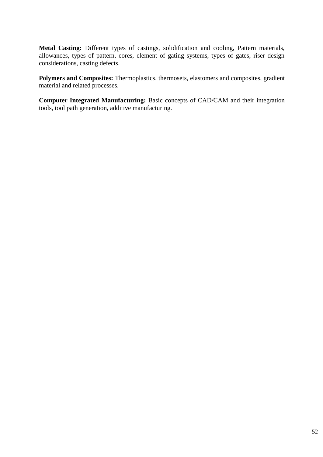**Metal Casting:** Different types of castings, solidification and cooling, Pattern materials, allowances, types of pattern, cores, element of gating systems, types of gates, riser design considerations, casting defects.

**Polymers and Composites:** Thermoplastics, thermosets, elastomers and composites, gradient material and related processes.

**Computer Integrated Manufacturing:** Basic concepts of CAD/CAM and their integration tools, tool path generation, additive manufacturing.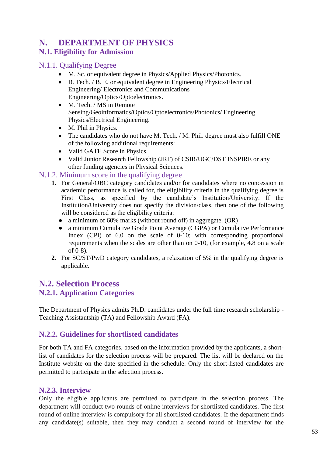## <span id="page-52-0"></span>**N. DEPARTMENT OF PHYSICS**

## <span id="page-52-1"></span>**N.1. Eligibility for Admission**

#### <span id="page-52-2"></span>N.1.1. Qualifying Degree

- M. Sc. or equivalent degree in Physics/Applied Physics/Photonics.
- B. Tech. / B. E. or equivalent degree in Engineering Physics/Electrical Engineering/ Electronics and Communications Engineering/Optics/Optoelectronics.
- M. Tech. / MS in Remote Sensing/Geoinformatics/Optics/Optoelectronics/Photonics/ Engineering Physics/Electrical Engineering.
- M. Phil in Physics.
- The candidates who do not have M. Tech. / M. Phil. degree must also fulfill ONE of the following additional requirements:
- Valid GATE Score in Physics.
- Valid Junior Research Fellowship (JRF) of CSIR/UGC/DST INSPIRE or any other funding agencies in Physical Sciences.

#### N.1.2. Minimum score in the qualifying degree

- **1.** For General/OBC category candidates and/or for candidates where no concession in academic performance is called for, the eligibility criteria in the qualifying degree is First Class, as specified by the candidate's Institution/University. If the Institution/University does not specify the division/class, then one of the following will be considered as the eligibility criteria:
	- a minimum of 60% marks (without round off) in aggregate. (OR)
	- a minimum Cumulative Grade Point Average (CGPA) or Cumulative Performance Index (CPI) of 6.0 on the scale of 0-10; with corresponding proportional requirements when the scales are other than on 0-10, (for example, 4.8 on a scale of 0-8).
- **2.** For SC/ST/PwD category candidates, a relaxation of 5% in the qualifying degree is applicable.

## <span id="page-52-4"></span><span id="page-52-3"></span>**N.2. Selection Process N.2.1. Application Categories**

The Department of Physics admits Ph.D. candidates under the full time research scholarship - Teaching Assistantship (TA) and Fellowship Award (FA).

## <span id="page-52-5"></span>**N.2.2. Guidelines for shortlisted candidates**

For both TA and FA categories, based on the information provided by the applicants, a shortlist of candidates for the selection process will be prepared. The list will be declared on the Institute website on the date specified in the schedule. Only the short-listed candidates are permitted to participate in the selection process.

#### <span id="page-52-6"></span>**N.2.3. Interview**

Only the eligible applicants are permitted to participate in the selection process. The department will conduct two rounds of online interviews for shortlisted candidates. The first round of online interview is compulsory for all shortlisted candidates. If the department finds any candidate(s) suitable, then they may conduct a second round of interview for the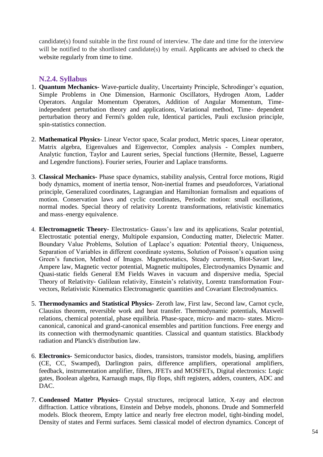candidate(s) found suitable in the first round of interview. The date and time for the interview will be notified to the shortlisted candidate(s) by email. Applicants are advised to check the website regularly from time to time.

#### **N.2.4. Syllabus**

- 1. **Quantum Mechanics-** Wave-particle duality, Uncertainty Principle, Schrodinger's equation, Simple Problems in One Dimension, Harmonic Oscillators, Hydrogen Atom, Ladder Operators. Angular Momentum Operators, Addition of Angular Momentum, Timeindependent perturbation theory and applications, Variational method, Time- dependent perturbation theory and Fermi's golden rule, Identical particles, Pauli exclusion principle, spin-statistics connection.
- 2. **Mathematical Physics-** Linear Vector space, Scalar product, Metric spaces, Linear operator, Matrix algebra, Eigenvalues and Eigenvector, Complex analysis - Complex numbers, Analytic function, Taylor and Laurent series, Special functions (Hermite, Bessel, Laguerre and Legendre functions). Fourier series, Fourier and Laplace transforms.
- 3. **Classical Mechanics-** Phase space dynamics, stability analysis, Central force motions, Rigid body dynamics, moment of inertia tensor, Non-inertial frames and pseudoforces, Variational principle, Generalized coordinates, Lagrangian and Hamiltonian formalism and equations of motion. Conservation laws and cyclic coordinates, Periodic motion: small oscillations, normal modes. Special theory of relativity Lorentz transformations, relativistic kinematics and mass–energy equivalence.
- 4. **Electromagnetic Theory-** Electrostatics- Gauss's law and its applications, Scalar potential, Electrostatic potential energy, Multipole expansion, Conducting matter, Dielectric Matter. Boundary Value Problems, Solution of Laplace's equation: Potential theory, Uniqueness, Separation of Variables in different coordinate systems, Solution of Poisson's equation using Green's function, Method of Images. Magnetostatics, Steady currents, Biot-Savart law, Ampere law, Magnetic vector potential, Magnetic multipoles, Electrodynamics Dynamic and Quasi-static fields General EM Fields Waves in vacuum and dispersive media, Special Theory of Relativity- Galilean relativity, Einstein's relativity, Lorentz transformation Fourvectors, Relativistic Kinematics Electromagnetic quantities and Covariant Electrodynamics.
- 5. **Thermodynamics and Statistical Physics-** Zeroth law, First law, Second law, Carnot cycle, Clausius theorem, reversible work and heat transfer. Thermodynamic potentials, Maxwell relations, chemical potential, phase equilibria. Phase-space, micro- and macro- states. Microcanonical, canonical and grand-canonical ensembles and partition functions. Free energy and its connection with thermodynamic quantities. Classical and quantum statistics. Blackbody radiation and Planck's distribution law.
- 6. **Electronics-** Semiconductor basics, diodes, transistors, transistor models, biasing, amplifiers (CE, CC, Swamped), Darlington pairs, difference amplifiers, operational amplifiers, feedback, instrumentation amplifier, filters, JFETs and MOSFETs, Digital electronics: Logic gates, Boolean algebra, Karnaugh maps, flip flops, shift registers, adders, counters, ADC and DAC.
- 7. **Condensed Matter Physics-** Crystal structures, reciprocal lattice, X-ray and electron diffraction. Lattice vibrations, Einstein and Debye models, phonons. Drude and Sommerfeld models. Block theorem, Empty lattice and nearly free electron model, tight-binding model, Density of states and Fermi surfaces. Semi classical model of electron dynamics. Concept of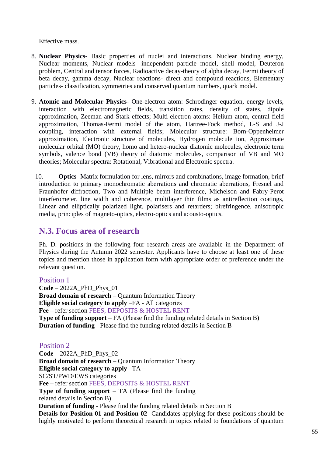Effective mass.

- 8. **Nuclear Physics-** Basic properties of nuclei and interactions, Nuclear binding energy, Nuclear moments, Nuclear models- independent particle model, shell model, Deuteron problem, Central and tensor forces, Radioactive decay-theory of alpha decay, Fermi theory of beta decay, gamma decay, Nuclear reactions- direct and compound reactions, Elementary particles- classification, symmetries and conserved quantum numbers, quark model.
- 9. **Atomic and Molecular Physics** One-electron atom: Schrodinger equation, energy levels, interaction with electromagnetic fields, transition rates, density of states, dipole approximation, Zeeman and Stark effects; Multi-electron atoms: Helium atom, central field approximation, Thomas-Fermi model of the atom, Hartree-Fock method, L-S and J-J coupling, interaction with external fields; Molecular structure: Born-Oppenheimer approximation, Electronic structure of molecules, Hydrogen molecule ion, Approximate molecular orbital (MO) theory, homo and hetero-nuclear diatomic molecules, electronic term symbols, valence bond (VB) theory of diatomic molecules, comparison of VB and MO theories; Molecular spectra: Rotational, Vibrational and Electronic spectra.
	- 10. **Optics-** Matrix formulation for lens, mirrors and combinations, image formation, brief introduction to primary monochromatic aberrations and chromatic aberrations, Fresnel and Fraunhofer diffraction, Two and Multiple beam interference, Michelson and Fabry-Perot interferometer, line width and coherence, multilayer thin films as antireflection coatings, Linear and elliptically polarized light, polarisers and retarders; birefringence, anisotropic media, principles of magneto-optics, electro-optics and acousto-optics.

## <span id="page-54-0"></span>**N.3. Focus area of research**

Ph. D. positions in the following four research areas are available in the Department of Physics during the Autumn 2022 semester. Applicants have to choose at least one of these topics and mention those in application form with appropriate order of preference under the relevant question.

#### Position 1

**Code** – 2022A\_PhD\_Phys\_01 **Broad domain of research** – Quantum Information Theory **Eligible social category to apply** –FA - All categories **Fee** – refer section FEES, DEPOSITS & HOSTEL RENT **Type of funding support** – FA (Please find the funding related details in Section B) **Duration of funding** - Please find the funding related details in Section B

#### Position 2

**Code** – 2022A\_PhD\_Phys\_02 **Broad domain of research** – Quantum Information Theory **Eligible social category to apply** –TA – SC/ST/PWD/EWS categories **Fee** – refer section FEES, DEPOSITS & HOSTEL RENT **Type of funding support** – TA (Please find the funding related details in Section B) **Duration of funding** - Please find the funding related details in Section B **Details for Position 01 and Position 02**- Candidates applying for these positions should be highly motivated to perform theoretical research in topics related to foundations of quantum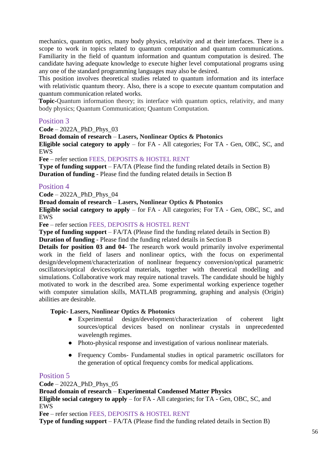mechanics, quantum optics, many body physics, relativity and at their interfaces. There is a scope to work in topics related to quantum computation and quantum communications. Familiarity in the field of quantum information and quantum computation is desired. The candidate having adequate knowledge to execute higher level computational programs using any one of the standard programming languages may also be desired.

This position involves theoretical studies related to quantum information and its interface with relativistic quantum theory. Also, there is a scope to execute quantum computation and quantum communication related works.

**Topic-**Quantum information theory; its interface with quantum optics, relativity, and many body physics; Quantum Communication; Quantum Computation.

#### Position 3

**Code** – 2022A\_PhD\_Phys\_03

**Broad domain of research** – **Lasers, Nonlinear Optics & Photonics**

**Eligible social category to apply** – for FA - All categories; For TA - Gen, OBC, SC, and EWS

**Fee** – refer section FEES, DEPOSITS & HOSTEL RENT

**Type of funding support** – FA/TA (Please find the funding related details in Section B) **Duration of funding** - Please find the funding related details in Section B

#### Position 4

**Code** – 2022A\_PhD\_Phys\_04

**Broad domain of research** – **Lasers, Nonlinear Optics & Photonics**

**Eligible social category to apply** – for FA - All categories; For TA - Gen, OBC, SC, and EWS

**Fee** – refer section FEES, DEPOSITS & HOSTEL RENT

**Type of funding support** – FA/TA (Please find the funding related details in Section B)

**Duration of funding** - Please find the funding related details in Section B

**Details for position 03 and 04-** The research work would primarily involve experimental work in the field of lasers and nonlinear optics, with the focus on experimental design/development/characterization of nonlinear frequency conversion/optical parametric oscillators/optical devices/optical materials, together with theoretical modelling and simulations. Collaborative work may require national travels. The candidate should be highly motivated to work in the described area. Some experimental working experience together with computer simulation skills, MATLAB programming, graphing and analysis (Origin) abilities are desirable.

#### **Topic- Lasers, Nonlinear Optics & Photonics**

- Experimental design/development/characterization of coherent light sources/optical devices based on nonlinear crystals in unprecedented wavelength regimes.
- Photo-physical response and investigation of various nonlinear materials.
- Frequency Combs- Fundamental studies in optical parametric oscillators for the generation of optical frequency combs for medical applications.

#### Position 5

**Code** – 2022A\_PhD\_Phys\_05

#### **Broad domain of research** – **Experimental Condensed Matter Physics**

**Eligible social category to apply** – for FA - All categories; for TA - Gen, OBC, SC, and EWS

**Fee** – refer section FEES, DEPOSITS & HOSTEL RENT

**Type of funding support** – FA/TA (Please find the funding related details in Section B)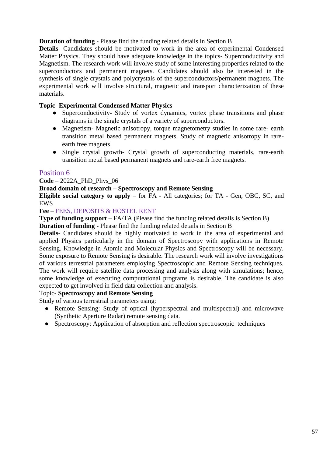#### **Duration of funding** - Please find the funding related details in Section B

**Details-** Candidates should be motivated to work in the area of experimental Condensed Matter Physics. They should have adequate knowledge in the topics- Superconductivity and Magnetism. The research work will involve study of some interesting properties related to the superconductors and permanent magnets. Candidates should also be interested in the synthesis of single crystals and polycrystals of the superconductors/permanent magnets. The experimental work will involve structural, magnetic and transport characterization of these materials.

#### **Topic**- **Experimental Condensed Matter Physics**

- Superconductivity- Study of vortex dynamics, vortex phase transitions and phase diagrams in the single crystals of a variety of superconductors.
- Magnetism- Magnetic anisotropy, torque magnetometry studies in some rare- earth transition metal based permanent magnets. Study of magnetic anisotropy in rareearth free magnets.
- Single crystal growth- Crystal growth of superconducting materials, rare-earth transition metal based permanent magnets and rare-earth free magnets.

#### Position 6

#### **Code** – 2022A\_PhD\_Phys\_06

#### **Broad domain of research** – **Spectroscopy and Remote Sensing**

**Eligible social category to apply** – for FA - All categories; for TA - Gen, OBC, SC, and EWS

#### **Fee** – FEES, DEPOSITS & HOSTEL RENT

**Type of funding support** – FA/TA (Please find the funding related details is Section B)

**Duration of funding** - Please find the funding related details in Section B

**Details**- Candidates should be highly motivated to work in the area of experimental and applied Physics particularly in the domain of Spectroscopy with applications in Remote Sensing. Knowledge in Atomic and Molecular Physics and Spectroscopy will be necessary. Some exposure to Remote Sensing is desirable. The research work will involve investigations of various terrestrial parameters employing Spectroscopic and Remote Sensing techniques. The work will require satellite data processing and analysis along with simulations; hence, some knowledge of executing computational programs is desirable. The candidate is also expected to get involved in field data collection and analysis.

#### Topic- **Spectroscopy and Remote Sensing**

Study of various terrestrial parameters using:

- Remote Sensing: Study of optical (hyperspectral and multispectral) and microwave (Synthetic Aperture Radar) remote sensing data.
- Spectroscopy: Application of absorption and reflection spectroscopic techniques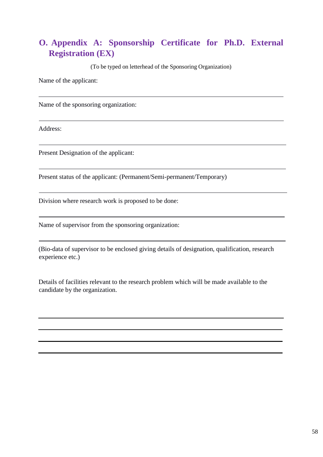## <span id="page-57-0"></span>**O. Appendix A: Sponsorship Certificate for Ph.D. External Registration (EX)**

(To be typed on letterhead of the Sponsoring Organization)

Name of the applicant:

Name of the sponsoring organization:

Address:

Present Designation of the applicant:

Present status of the applicant: (Permanent/Semi-permanent/Temporary)

Division where research work is proposed to be done:

Name of supervisor from the sponsoring organization:

(Bio-data of supervisor to be enclosed giving details of designation, qualification, research experience etc.)

Details of facilities relevant to the research problem which will be made available to the candidate by the organization.